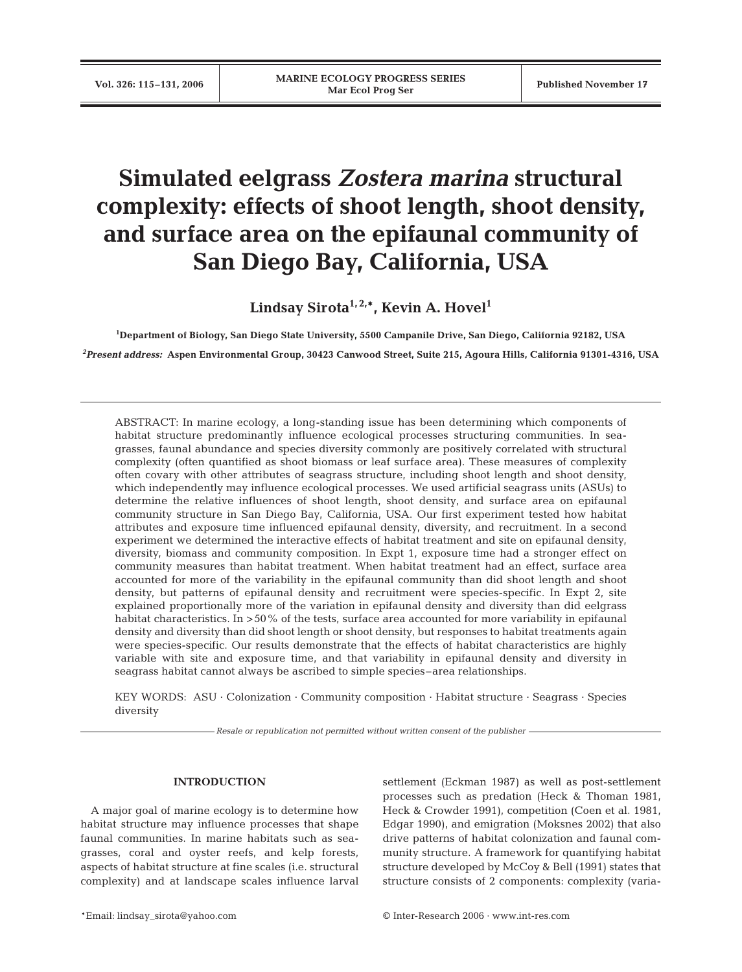# **Simulated eelgrass** *Zostera marina* **structural complexity: effects of shoot length, shoot density, and surface area on the epifaunal community of San Diego Bay, California, USA**

Lindsay Sirota<sup>1, 2,\*</sup>, Kevin A. Hovel<sup>1</sup>

**1 Department of Biology, San Diego State University, 5500 Campanile Drive, San Diego, California 92182, USA** 

*2 Present address:* **Aspen Environmental Group, 30423 Canwood Street, Suite 215, Agoura Hills, California 91301-4316, USA**

ABSTRACT: In marine ecology, a long-standing issue has been determining which components of habitat structure predominantly influence ecological processes structuring communities. In seagrasses, faunal abundance and species diversity commonly are positively correlated with structural complexity (often quantified as shoot biomass or leaf surface area). These measures of complexity often covary with other attributes of seagrass structure, including shoot length and shoot density, which independently may influence ecological processes. We used artificial seagrass units (ASUs) to determine the relative influences of shoot length, shoot density, and surface area on epifaunal community structure in San Diego Bay, California, USA. Our first experiment tested how habitat attributes and exposure time influenced epifaunal density, diversity, and recruitment. In a second experiment we determined the interactive effects of habitat treatment and site on epifaunal density, diversity, biomass and community composition. In Expt 1, exposure time had a stronger effect on community measures than habitat treatment. When habitat treatment had an effect, surface area accounted for more of the variability in the epifaunal community than did shoot length and shoot density, but patterns of epifaunal density and recruitment were species-specific. In Expt 2, site explained proportionally more of the variation in epifaunal density and diversity than did eelgrass habitat characteristics. In >50% of the tests, surface area accounted for more variability in epifaunal density and diversity than did shoot length or shoot density, but responses to habitat treatments again were species-specific. Our results demonstrate that the effects of habitat characteristics are highly variable with site and exposure time, and that variability in epifaunal density and diversity in seagrass habitat cannot always be ascribed to simple species–area relationships.

KEY WORDS: ASU · Colonization · Community composition · Habitat structure · Seagrass · Species diversity

*Resale or republication not permitted without written consent of the publisher*

# **INTRODUCTION**

A major goal of marine ecology is to determine how habitat structure may influence processes that shape faunal communities. In marine habitats such as seagrasses, coral and oyster reefs, and kelp forests, aspects of habitat structure at fine scales (i.e. structural complexity) and at landscape scales influence larval settlement (Eckman 1987) as well as post-settlement processes such as predation (Heck & Thoman 1981, Heck & Crowder 1991), competition (Coen et al. 1981, Edgar 1990), and emigration (Moksnes 2002) that also drive patterns of habitat colonization and faunal community structure. A framework for quantifying habitat structure developed by McCoy & Bell (1991) states that structure consists of 2 components: complexity (varia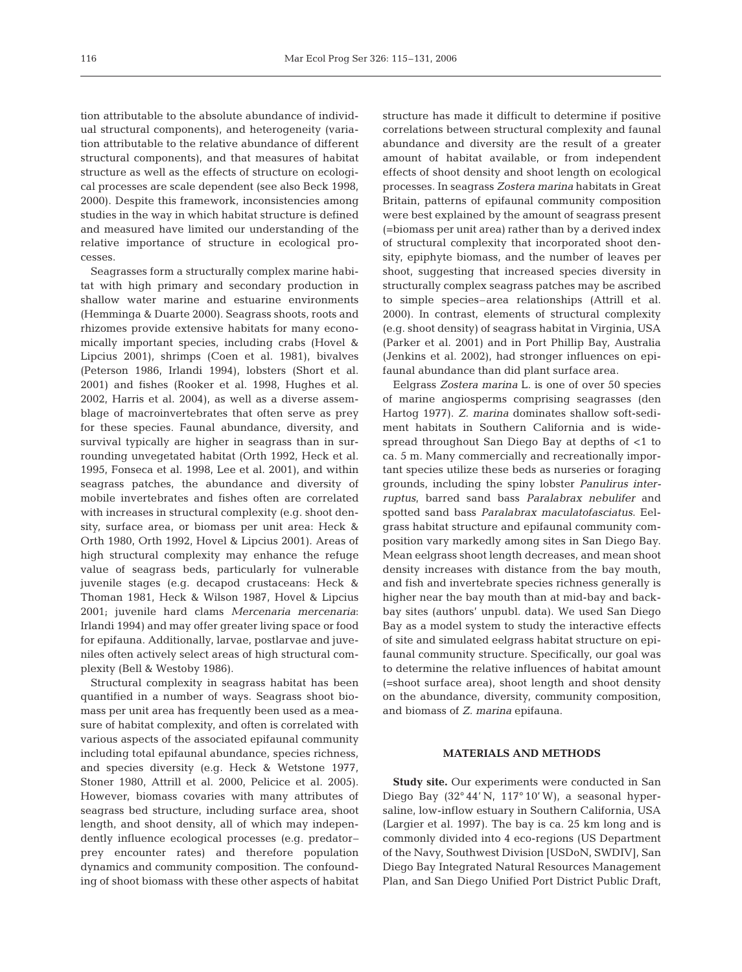tion attributable to the absolute abundance of individual structural components), and heterogeneity (variation attributable to the relative abundance of different structural components), and that measures of habitat structure as well as the effects of structure on ecological processes are scale dependent (see also Beck 1998, 2000). Despite this framework, inconsistencies among studies in the way in which habitat structure is defined and measured have limited our understanding of the relative importance of structure in ecological processes.

Seagrasses form a structurally complex marine habitat with high primary and secondary production in shallow water marine and estuarine environments (Hemminga & Duarte 2000). Seagrass shoots, roots and rhizomes provide extensive habitats for many economically important species, including crabs (Hovel & Lipcius 2001), shrimps (Coen et al. 1981), bivalves (Peterson 1986, Irlandi 1994), lobsters (Short et al. 2001) and fishes (Rooker et al. 1998, Hughes et al. 2002, Harris et al. 2004), as well as a diverse assemblage of macroinvertebrates that often serve as prey for these species. Faunal abundance, diversity, and survival typically are higher in seagrass than in surrounding unvegetated habitat (Orth 1992, Heck et al. 1995, Fonseca et al. 1998, Lee et al. 2001), and within seagrass patches, the abundance and diversity of mobile invertebrates and fishes often are correlated with increases in structural complexity (e.g. shoot density, surface area, or biomass per unit area: Heck & Orth 1980, Orth 1992, Hovel & Lipcius 2001). Areas of high structural complexity may enhance the refuge value of seagrass beds, particularly for vulnerable juvenile stages (e.g. decapod crustaceans: Heck & Thoman 1981, Heck & Wilson 1987, Hovel & Lipcius 2001; juvenile hard clams *Mercenaria mercenaria*: Irlandi 1994) and may offer greater living space or food for epifauna. Additionally, larvae, postlarvae and juveniles often actively select areas of high structural complexity (Bell & Westoby 1986).

Structural complexity in seagrass habitat has been quantified in a number of ways. Seagrass shoot biomass per unit area has frequently been used as a measure of habitat complexity, and often is correlated with various aspects of the associated epifaunal community including total epifaunal abundance, species richness, and species diversity (e.g. Heck & Wetstone 1977, Stoner 1980, Attrill et al. 2000, Pelicice et al. 2005). However, biomass covaries with many attributes of seagrass bed structure, including surface area, shoot length, and shoot density, all of which may independently influence ecological processes (e.g. predator– prey encounter rates) and therefore population dynamics and community composition. The confounding of shoot biomass with these other aspects of habitat structure has made it difficult to determine if positive correlations between structural complexity and faunal abundance and diversity are the result of a greater amount of habitat available, or from independent effects of shoot density and shoot length on ecological processes. In seagrass *Zostera marina* habitats in Great Britain, patterns of epifaunal community composition were best explained by the amount of seagrass present (=biomass per unit area) rather than by a derived index of structural complexity that incorporated shoot density, epiphyte biomass, and the number of leaves per shoot, suggesting that increased species diversity in structurally complex seagrass patches may be ascribed to simple species–area relationships (Attrill et al. 2000). In contrast, elements of structural complexity (e.g. shoot density) of seagrass habitat in Virginia, USA (Parker et al. 2001) and in Port Phillip Bay, Australia (Jenkins et al. 2002), had stronger influences on epifaunal abundance than did plant surface area.

Eelgrass *Zostera marina* L. is one of over 50 species of marine angiosperms comprising seagrasses (den Hartog 1977). *Z. marina* dominates shallow soft-sediment habitats in Southern California and is widespread throughout San Diego Bay at depths of <1 to ca. 5 m. Many commercially and recreationally important species utilize these beds as nurseries or foraging grounds, including the spiny lobster *Panulirus interruptus*, barred sand bass *Paralabrax nebulifer* and spotted sand bass *Paralabrax maculatofasciatus*. Eelgrass habitat structure and epifaunal community composition vary markedly among sites in San Diego Bay. Mean eelgrass shoot length decreases, and mean shoot density increases with distance from the bay mouth, and fish and invertebrate species richness generally is higher near the bay mouth than at mid-bay and backbay sites (authors' unpubl. data). We used San Diego Bay as a model system to study the interactive effects of site and simulated eelgrass habitat structure on epifaunal community structure. Specifically, our goal was to determine the relative influences of habitat amount (=shoot surface area), shoot length and shoot density on the abundance, diversity, community composition, and biomass of *Z. marina* epifauna.

## **MATERIALS AND METHODS**

**Study site.** Our experiments were conducted in San Diego Bay (32° 44' N, 117° 10' W), a seasonal hypersaline, low-inflow estuary in Southern California, USA (Largier et al. 1997). The bay is ca. 25 km long and is commonly divided into 4 eco-regions (US Department of the Navy, Southwest Division [USDoN, SWDIV], San Diego Bay Integrated Natural Resources Management Plan, and San Diego Unified Port District Public Draft,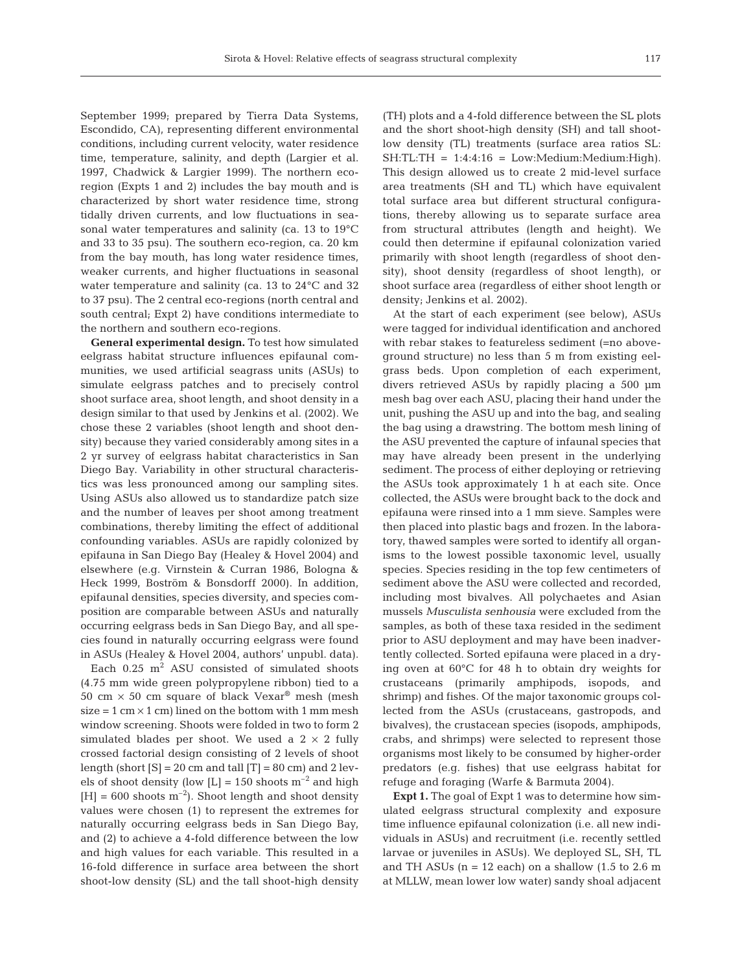September 1999; prepared by Tierra Data Systems, Escondido, CA), representing different environmental conditions, including current velocity, water residence time, temperature, salinity, and depth (Largier et al. 1997, Chadwick & Largier 1999). The northern ecoregion (Expts 1 and 2) includes the bay mouth and is characterized by short water residence time, strong tidally driven currents, and low fluctuations in seasonal water temperatures and salinity (ca. 13 to 19°C and 33 to 35 psu). The southern eco-region, ca. 20 km from the bay mouth, has long water residence times, weaker currents, and higher fluctuations in seasonal water temperature and salinity (ca. 13 to 24°C and 32 to 37 psu). The 2 central eco-regions (north central and south central; Expt 2) have conditions intermediate to the northern and southern eco-regions.

**General experimental design.** To test how simulated eelgrass habitat structure influences epifaunal communities, we used artificial seagrass units (ASUs) to simulate eelgrass patches and to precisely control shoot surface area, shoot length, and shoot density in a design similar to that used by Jenkins et al. (2002). We chose these 2 variables (shoot length and shoot density) because they varied considerably among sites in a 2 yr survey of eelgrass habitat characteristics in San Diego Bay. Variability in other structural characteristics was less pronounced among our sampling sites. Using ASUs also allowed us to standardize patch size and the number of leaves per shoot among treatment combinations, thereby limiting the effect of additional confounding variables. ASUs are rapidly colonized by epifauna in San Diego Bay (Healey & Hovel 2004) and elsewhere (e.g. Virnstein & Curran 1986, Bologna & Heck 1999, Boström & Bonsdorff 2000). In addition, epifaunal densities, species diversity, and species composition are comparable between ASUs and naturally occurring eelgrass beds in San Diego Bay, and all species found in naturally occurring eelgrass were found in ASUs (Healey & Hovel 2004, authors' unpubl. data).

Each  $0.25$  m<sup>2</sup> ASU consisted of simulated shoots (4.75 mm wide green polypropylene ribbon) tied to a 50 cm  $\times$  50 cm square of black Vexar<sup>®</sup> mesh (mesh)  $size = 1$  cm  $\times$  1 cm) lined on the bottom with 1 mm mesh window screening. Shoots were folded in two to form 2 simulated blades per shoot. We used a  $2 \times 2$  fully crossed factorial design consisting of 2 levels of shoot length (short  $[S] = 20$  cm and tall  $[T] = 80$  cm) and 2 levels of shoot density (low  $[L] = 150$  shoots  $m^{-2}$  and high  $[H] = 600$  shoots  $m^{-2}$ ). Shoot length and shoot density values were chosen (1) to represent the extremes for naturally occurring eelgrass beds in San Diego Bay, and (2) to achieve a 4-fold difference between the low and high values for each variable. This resulted in a 16-fold difference in surface area between the short shoot-low density (SL) and the tall shoot-high density (TH) plots and a 4-fold difference between the SL plots and the short shoot-high density (SH) and tall shootlow density (TL) treatments (surface area ratios SL:  $SH:TL:TH = 1:4:4:16 = Low:Medium:Medium:High$ . This design allowed us to create 2 mid-level surface area treatments (SH and TL) which have equivalent total surface area but different structural configurations, thereby allowing us to separate surface area from structural attributes (length and height). We could then determine if epifaunal colonization varied primarily with shoot length (regardless of shoot density), shoot density (regardless of shoot length), or shoot surface area (regardless of either shoot length or density; Jenkins et al. 2002).

At the start of each experiment (see below), ASUs were tagged for individual identification and anchored with rebar stakes to featureless sediment (=no aboveground structure) no less than 5 m from existing eelgrass beds. Upon completion of each experiment, divers retrieved ASUs by rapidly placing a 500 µm mesh bag over each ASU, placing their hand under the unit, pushing the ASU up and into the bag, and sealing the bag using a drawstring. The bottom mesh lining of the ASU prevented the capture of infaunal species that may have already been present in the underlying sediment. The process of either deploying or retrieving the ASUs took approximately 1 h at each site. Once collected, the ASUs were brought back to the dock and epifauna were rinsed into a 1 mm sieve. Samples were then placed into plastic bags and frozen. In the laboratory, thawed samples were sorted to identify all organisms to the lowest possible taxonomic level, usually species. Species residing in the top few centimeters of sediment above the ASU were collected and recorded, including most bivalves. All polychaetes and Asian mussels *Musculista senhousia* were excluded from the samples, as both of these taxa resided in the sediment prior to ASU deployment and may have been inadvertently collected. Sorted epifauna were placed in a drying oven at 60°C for 48 h to obtain dry weights for crustaceans (primarily amphipods, isopods, and shrimp) and fishes. Of the major taxonomic groups collected from the ASUs (crustaceans, gastropods, and bivalves), the crustacean species (isopods, amphipods, crabs, and shrimps) were selected to represent those organisms most likely to be consumed by higher-order predators (e.g. fishes) that use eelgrass habitat for refuge and foraging (Warfe & Barmuta 2004).

**Expt 1.** The goal of Expt 1 was to determine how simulated eelgrass structural complexity and exposure time influence epifaunal colonization (i.e. all new individuals in ASUs) and recruitment (i.e. recently settled larvae or juveniles in ASUs). We deployed SL, SH, TL and TH ASUs  $(n = 12 \text{ each})$  on a shallow  $(1.5 \text{ to } 2.6 \text{ m})$ at MLLW, mean lower low water) sandy shoal adjacent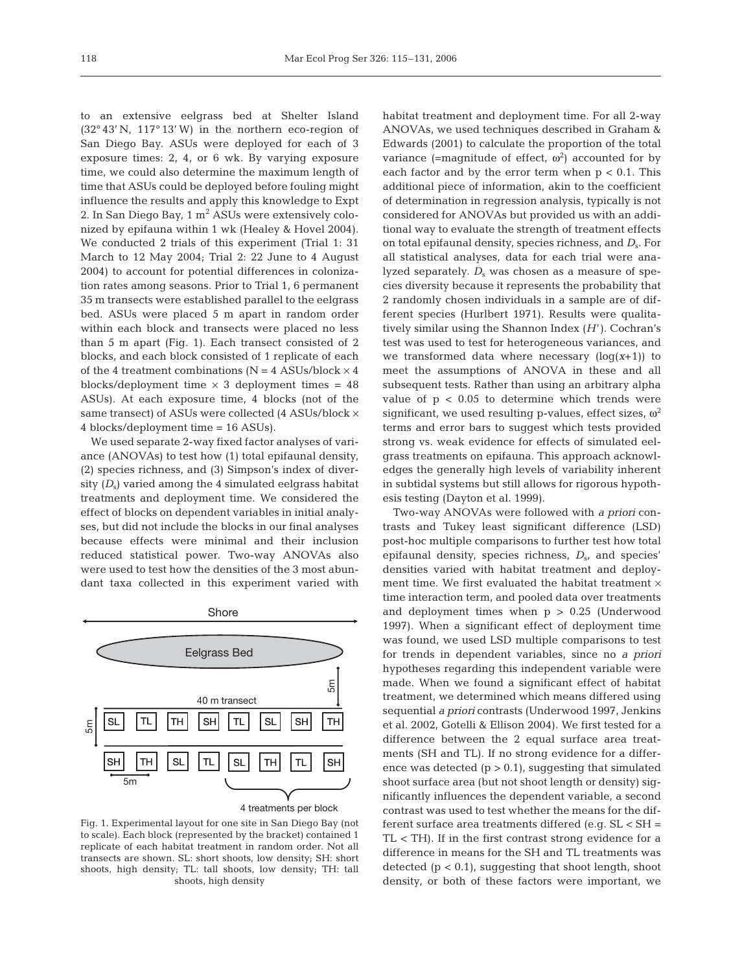to an extensive eelgrass bed at Shelter Island (32° 43' N, 117° 13' W) in the northern eco-region of San Diego Bay. ASUs were deployed for each of 3 exposure times: 2, 4, or 6 wk. By varying exposure time, we could also determine the maximum length of time that ASUs could be deployed before fouling might influence the results and apply this knowledge to Expt 2. In San Diego Bay,  $1 \text{ m}^2$  ASUs were extensively colonized by epifauna within 1 wk (Healey & Hovel 2004). We conducted 2 trials of this experiment (Trial 1: 31 March to 12 May 2004; Trial 2: 22 June to 4 August 2004) to account for potential differences in colonization rates among seasons. Prior to Trial 1, 6 permanent 35 m transects were established parallel to the eelgrass bed. ASUs were placed 5 m apart in random order within each block and transects were placed no less than 5 m apart (Fig. 1). Each transect consisted of 2 blocks, and each block consisted of 1 replicate of each of the 4 treatment combinations ( $N = 4$  ASUs/block  $\times$  4 blocks/deployment time  $\times$  3 deployment times = 48 ASUs). At each exposure time, 4 blocks (not of the same transect) of ASUs were collected (4 ASUs/block × 4 blocks/deployment time = 16 ASUs).

We used separate 2-way fixed factor analyses of variance (ANOVAs) to test how (1) total epifaunal density, (2) species richness, and (3) Simpson's index of diversity  $(D_s)$  varied among the 4 simulated eelgrass habitat treatments and deployment time. We considered the effect of blocks on dependent variables in initial analyses, but did not include the blocks in our final analyses because effects were minimal and their inclusion reduced statistical power. Two-way ANOVAs also were used to test how the densities of the 3 most abundant taxa collected in this experiment varied with





Fig. 1. Experimental layout for one site in San Diego Bay (not to scale). Each block (represented by the bracket) contained 1 replicate of each habitat treatment in random order. Not all transects are shown. SL: short shoots, low density; SH: short shoots, high density; TL: tall shoots, low density; TH: tall shoots, high density

habitat treatment and deployment time. For all 2-way ANOVAs, we used techniques described in Graham & Edwards (2001) to calculate the proportion of the total variance (=magnitude of effect,  $\omega^2$ ) accounted for by each factor and by the error term when  $p < 0.1$ . This additional piece of information, akin to the coefficient of determination in regression analysis, typically is not considered for ANOVAs but provided us with an additional way to evaluate the strength of treatment effects on total epifaunal density, species richness, and *D*s. For all statistical analyses, data for each trial were analyzed separately.  $D<sub>s</sub>$  was chosen as a measure of species diversity because it represents the probability that 2 randomly chosen individuals in a sample are of different species (Hurlbert 1971). Results were qualitatively similar using the Shannon Index (*H*'). Cochran's test was used to test for heterogeneous variances, and we transformed data where necessary (log(*x*+1)) to meet the assumptions of ANOVA in these and all subsequent tests. Rather than using an arbitrary alpha value of  $p < 0.05$  to determine which trends were significant, we used resulting p-values, effect sizes,  $\omega^2$ terms and error bars to suggest which tests provided strong vs. weak evidence for effects of simulated eelgrass treatments on epifauna. This approach acknowledges the generally high levels of variability inherent in subtidal systems but still allows for rigorous hypothesis testing (Dayton et al. 1999).

Two-way ANOVAs were followed with *a priori* contrasts and Tukey least significant difference (LSD) post-hoc multiple comparisons to further test how total epifaunal density, species richness, *D*s, and species' densities varied with habitat treatment and deployment time. We first evaluated the habitat treatment  $\times$ time interaction term, and pooled data over treatments and deployment times when  $p > 0.25$  (Underwood 1997). When a significant effect of deployment time was found, we used LSD multiple comparisons to test for trends in dependent variables, since no *a priori* hypotheses regarding this independent variable were made. When we found a significant effect of habitat treatment, we determined which means differed using sequential *a priori* contrasts (Underwood 1997, Jenkins et al. 2002, Gotelli & Ellison 2004). We first tested for a difference between the 2 equal surface area treatments (SH and TL). If no strong evidence for a difference was detected  $(p > 0.1)$ , suggesting that simulated shoot surface area (but not shoot length or density) significantly influences the dependent variable, a second contrast was used to test whether the means for the different surface area treatments differed (e.g. SL < SH = TL < TH). If in the first contrast strong evidence for a difference in means for the SH and TL treatments was detected  $(p < 0.1)$ , suggesting that shoot length, shoot density, or both of these factors were important, we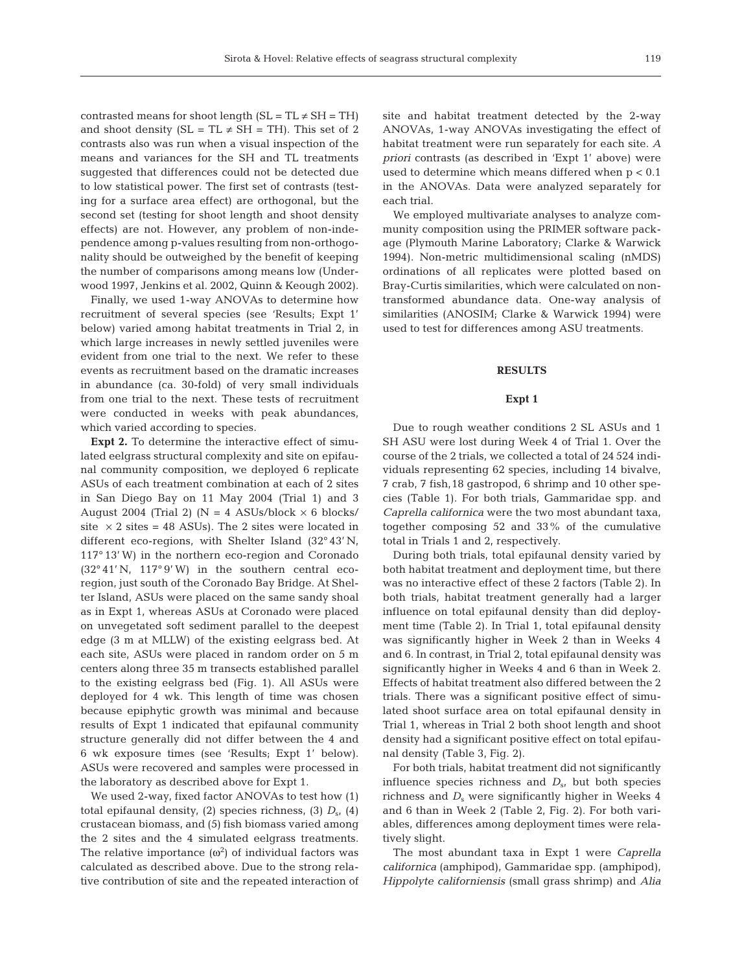contrasted means for shoot length  $(SL = TL \neq SH = TH)$ and shoot density (SL = TL  $\neq$  SH = TH). This set of 2 contrasts also was run when a visual inspection of the means and variances for the SH and TL treatments suggested that differences could not be detected due to low statistical power. The first set of contrasts (testing for a surface area effect) are orthogonal, but the second set (testing for shoot length and shoot density effects) are not. However, any problem of non-independence among p-values resulting from non-orthogonality should be outweighed by the benefit of keeping the number of comparisons among means low (Underwood 1997, Jenkins et al. 2002, Quinn & Keough 2002).

Finally, we used 1-way ANOVAs to determine how recruitment of several species (see 'Results; Expt 1' below) varied among habitat treatments in Trial 2, in which large increases in newly settled juveniles were evident from one trial to the next. We refer to these events as recruitment based on the dramatic increases in abundance (ca. 30-fold) of very small individuals from one trial to the next. These tests of recruitment were conducted in weeks with peak abundances, which varied according to species.

**Expt 2.** To determine the interactive effect of simulated eelgrass structural complexity and site on epifaunal community composition, we deployed 6 replicate ASUs of each treatment combination at each of 2 sites in San Diego Bay on 11 May 2004 (Trial 1) and 3 August 2004 (Trial 2) ( $N = 4$  ASUs/block  $\times$  6 blocks/ site  $\times$  2 sites = 48 ASUs). The 2 sites were located in different eco-regions, with Shelter Island (32° 43' N, 117° 13' W) in the northern eco-region and Coronado (32° 41' N, 117° 9' W) in the southern central ecoregion, just south of the Coronado Bay Bridge. At Shelter Island, ASUs were placed on the same sandy shoal as in Expt 1, whereas ASUs at Coronado were placed on unvegetated soft sediment parallel to the deepest edge (3 m at MLLW) of the existing eelgrass bed. At each site, ASUs were placed in random order on 5 m centers along three 35 m transects established parallel to the existing eelgrass bed (Fig. 1). All ASUs were deployed for 4 wk. This length of time was chosen because epiphytic growth was minimal and because results of Expt 1 indicated that epifaunal community structure generally did not differ between the 4 and 6 wk exposure times (see 'Results; Expt 1' below). ASUs were recovered and samples were processed in the laboratory as described above for Expt 1.

We used 2-way, fixed factor ANOVAs to test how (1) total epifaunal density, (2) species richness, (3)  $D_{\rm s}$ , (4) crustacean biomass, and (5) fish biomass varied among the 2 sites and the 4 simulated eelgrass treatments. The relative importance  $(\omega^2)$  of individual factors was calculated as described above. Due to the strong relative contribution of site and the repeated interaction of

site and habitat treatment detected by the 2-way ANOVAs, 1-way ANOVAs investigating the effect of habitat treatment were run separately for each site. *A priori* contrasts (as described in 'Expt 1' above) were used to determine which means differed when  $p < 0.1$ in the ANOVAs. Data were analyzed separately for each trial.

We employed multivariate analyses to analyze community composition using the PRIMER software package (Plymouth Marine Laboratory; Clarke & Warwick 1994). Non-metric multidimensional scaling (nMDS) ordinations of all replicates were plotted based on Bray-Curtis similarities, which were calculated on nontransformed abundance data. One-way analysis of similarities (ANOSIM; Clarke & Warwick 1994) were used to test for differences among ASU treatments.

## **RESULTS**

## **Expt 1**

Due to rough weather conditions 2 SL ASUs and 1 SH ASU were lost during Week 4 of Trial 1. Over the course of the 2 trials, we collected a total of 24 524 individuals representing 62 species, including 14 bivalve, 7 crab, 7 fish,18 gastropod, 6 shrimp and 10 other species (Table 1). For both trials, Gammaridae spp. and *Caprella californica* were the two most abundant taxa, together composing 52 and 33% of the cumulative total in Trials 1 and 2, respectively.

During both trials, total epifaunal density varied by both habitat treatment and deployment time, but there was no interactive effect of these 2 factors (Table 2). In both trials, habitat treatment generally had a larger influence on total epifaunal density than did deployment time (Table 2). In Trial 1, total epifaunal density was significantly higher in Week 2 than in Weeks 4 and 6. In contrast, in Trial 2, total epifaunal density was significantly higher in Weeks 4 and 6 than in Week 2. Effects of habitat treatment also differed between the 2 trials. There was a significant positive effect of simulated shoot surface area on total epifaunal density in Trial 1, whereas in Trial 2 both shoot length and shoot density had a significant positive effect on total epifaunal density (Table 3, Fig. 2).

For both trials, habitat treatment did not significantly influence species richness and  $D_{\rm s}$ , but both species richness and  $D<sub>s</sub>$  were significantly higher in Weeks 4 and 6 than in Week 2 (Table 2, Fig. 2). For both variables, differences among deployment times were relatively slight.

The most abundant taxa in Expt 1 were *Caprella californica* (amphipod), Gammaridae spp. (amphipod), *Hippolyte californiensis* (small grass shrimp) and *Alia*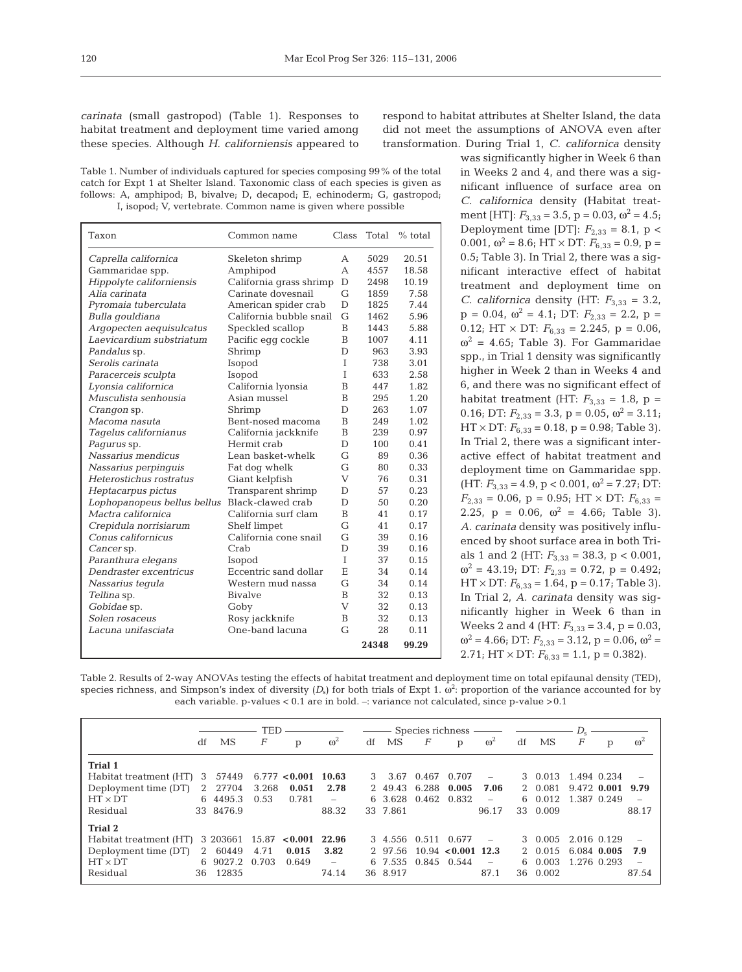*carinata* (small gastropod) (Table 1). Responses to habitat treatment and deployment time varied among these species. Although *H. californiensis* appeared to

Table 1. Number of individuals captured for species composing 99% of the total catch for Expt 1 at Shelter Island. Taxonomic class of each species is given as follows: A, amphipod; B, bivalve; D, decapod; E, echinoderm; G, gastropod; I, isopod; V, vertebrate. Common name is given where possible

| Taxon                       | Common name             | Class | Total | $%$ total |
|-----------------------------|-------------------------|-------|-------|-----------|
| Caprella californica        | Skeleton shrimp         | A     | 5029  | 20.51     |
| Gammaridae spp.             | Amphipod                | A     | 4557  | 18.58     |
| Hippolyte californiensis    | California grass shrimp | D     | 2498  | 10.19     |
| Alia carinata               | Carinate dovesnail      | G     | 1859  | 7.58      |
| Pyromaia tuberculata        | American spider crab    | D     | 1825  | 7.44      |
| Bulla gouldiana             | California bubble snail | G     | 1462  | 5.96      |
| Argopecten aequisulcatus    | Speckled scallop        | B     | 1443  | 5.88      |
| Laevicardium substriatum    | Pacific egg cockle      | B     | 1007  | 4.11      |
| Pandalus sp.                | Shrimp                  | D     | 963   | 3.93      |
| Serolis carinata            | Isopod                  | T     | 738   | 3.01      |
| Paracerceis sculpta         | Isopod                  | T     | 633   | 2.58      |
| Lyonsia californica         | California lyonsia      | B     | 447   | 1.82      |
| Musculista senhousia        | Asian mussel            | B     | 295   | 1.20      |
| <i>Crangon</i> sp.          | Shrimp                  | D     | 263   | 1.07      |
| Macoma nasuta               | Bent-nosed macoma       | B     | 249   | 1.02      |
| Tagelus californianus       | California jackknife    | B     | 239   | 0.97      |
| Pagurus sp.                 | Hermit crab             | D     | 100   | 0.41      |
| Nassarius mendicus          | Lean basket-whelk       | G     | 89    | 0.36      |
| Nassarius perpinguis        | Fat dog whelk           | G     | 80    | 0.33      |
| Heterostichus rostratus     | Giant kelpfish          | V     | 76    | 0.31      |
| Heptacarpus pictus          | Transparent shrimp      | D     | 57    | 0.23      |
| Lophopanopeus bellus bellus | Black-clawed crab       | D     | 50    | 0.20      |
| Mactra californica          | California surf clam    | B     | 41    | 0.17      |
| Crepidula norrisiarum       | Shelf limpet            | G     | 41    | 0.17      |
| Conus californicus          | California cone snail   | G     | 39    | 0.16      |
| Cancer sp.                  | Crab                    | D     | 39    | 0.16      |
| Paranthura elegans          | Isopod                  | T     | 37    | 0.15      |
| Dendraster excentricus      | Eccentric sand dollar   | E     | 34    | 0.14      |
| Nassarius tequla            | Western mud nassa       | G     | 34    | 0.14      |
| Tellina sp.                 | <b>Bivalve</b>          | B     | 32    | 0.13      |
| Gobidae sp.                 | Goby                    | V     | 32    | 0.13      |
| Solen rosaceus              | Rosy jackknife          | B     | 32    | 0.13      |
| Lacuna unifasciata          | One-band lacuna         | G     | 28    | 0.11      |
|                             |                         |       | 24348 | 99.29     |

respond to habitat attributes at Shelter Island, the data did not meet the assumptions of ANOVA even after transformation. During Trial 1, *C. californica* density

was significantly higher in Week 6 than in Weeks 2 and 4, and there was a significant influence of surface area on *C. californica* density (Habitat treatment [HT]:  $F_{3,33} = 3.5$ ,  $p = 0.03$ ,  $\omega^2 = 4.5$ ; Deployment time [DT]:  $F_{2,33} = 8.1$ , p < 0.001,  $\omega^2 = 8.6$ ; HT  $\times$  DT:  $F_{6,33} = 0.9$ , p = 0.5; Table 3). In Trial 2, there was a significant interactive effect of habitat treatment and deployment time on *C. californica* density (HT:  $F_{3,33} = 3.2$ ,  $p = 0.04$ ,  $\omega^2 = 4.1$ ; DT:  $F_{2.33} = 2.2$ ,  $p =$ 0.12; HT  $\times$  DT:  $F_{6,33} = 2.245$ ,  $p = 0.06$ ,  $\omega^2$  = 4.65; Table 3). For Gammaridae spp., in Trial 1 density was significantly higher in Week 2 than in Weeks 4 and 6, and there was no significant effect of habitat treatment (HT:  $F_{3,33} = 1.8$ , p = 0.16; DT:  $F_{2,33} = 3.3$ , p = 0.05,  $\omega^2 = 3.11$ ;  $HT \times DT$ :  $F_{6,33} = 0.18$ ,  $p = 0.98$ ; Table 3). In Trial 2, there was a significant interactive effect of habitat treatment and deployment time on Gammaridae spp. (HT:  $F_{3,33} = 4.9$ , p < 0.001,  $\omega^2 = 7.27$ ; DT:  $F_{2,33} = 0.06$ ,  $p = 0.95$ ; HT  $\times$  DT:  $F_{6,33} =$ 2.25,  $p = 0.06$ ,  $\omega^2 = 4.66$ ; Table 3). *A. carinata* density was positively influenced by shoot surface area in both Trials 1 and 2 (HT:  $F_{3,33} = 38.3$ , p < 0.001,  $\omega^2 = 43.19$ ; DT:  $F_{2,33} = 0.72$ , p = 0.492;  $HT \times DT$ :  $F_{6,33} = 1.64$ ,  $p = 0.17$ ; Table 3). In Trial 2, *A. carinata* density was significantly higher in Week 6 than in Weeks 2 and 4 (HT:  $F_{3,33} = 3.4$ ,  $p = 0.03$ ,  $\omega^2$  = 4.66; DT:  $F_{2,33}$  = 3.12, p = 0.06,  $\omega^2$  = 2.71; HT  $\times$  DT:  $F_{6,33} = 1.1$ , p = 0.382).

Table 2. Results of 2-way ANOVAs testing the effects of habitat treatment and deployment time on total epifaunal density (TED), species richness, and Simpson's index of diversity  $(D_s)$  for both trials of Expt 1.  $\omega^2$ : proportion of the variance accounted for by each variable. p-values < 0.1 are in bold. –: variance not calculated, since p-value >0.1

|                        |     |           | <b>TED</b> |                   |                          |    |               |                  |                        |            |    |          | $D_{\rm e}$ |   |            |
|------------------------|-----|-----------|------------|-------------------|--------------------------|----|---------------|------------------|------------------------|------------|----|----------|-------------|---|------------|
|                        | df  | MS        | $\,F$      | p                 | $\omega^2$               | df | MS            | $\boldsymbol{F}$ | p                      | $\omega^2$ | df | MS       | F           | p | $\omega^2$ |
| <b>Trial 1</b>         |     |           |            |                   |                          |    |               |                  |                        |            |    |          |             |   |            |
| Habitat treatment (HT) | 3   | 57449     |            | 6.777 < 0.001     | 10.63                    | 3  | 3.67          | 0.467            | 0.707                  |            |    | 3 0.013  | 1.494 0.234 |   |            |
| Deployment time (DT)   |     | 2 27704   | 3.268      | 0.051             | 2.78                     |    | 2 49.43 6.288 |                  | 0.005                  | 7.06       |    | 2 0.081  | 9.472 0.001 |   | 9.79       |
| $HT \times DT$         |     | 6 4495.3  | 0.53       | 0.781             | -                        |    | 6 3.628 0.462 |                  | 0.832                  |            | 6  | 0.012    | 1.387 0.249 |   |            |
| Residual               |     | 33 8476.9 |            |                   | 88.32                    |    | 33 7.861      |                  |                        | 96.17      |    | 33 0.009 |             |   | 88.17      |
| <b>Trial 2</b>         |     |           |            |                   |                          |    |               |                  |                        |            |    |          |             |   |            |
| Habitat treatment (HT) |     | 3 203661  |            | $15.87 \le 0.001$ | 22.96                    |    |               |                  | 3 4.556 0.511 0.677    |            |    | 3 0.005  | 2.016 0.129 |   |            |
| Deployment time (DT)   | 2   | 60449     | 4.71       | 0.015             | 3.82                     |    | 2 97.56       |                  | $10.94 \le 0.001$ 12.3 |            |    | 2 0.015  | 6.084 0.005 |   | 7.9        |
| $HT \times DT$         |     | 6 9027.2  | 0.703      | 0.649             | $\overline{\phantom{0}}$ |    |               |                  | 6 7.535 0.845 0.544    |            | 6. | 0.003    | 1.276 0.293 |   |            |
| Residual               | 36. | 12835     |            |                   | 74.14                    |    | 36 8.917      |                  |                        | 87.1       | 36 | 0.002    |             |   | 87.54      |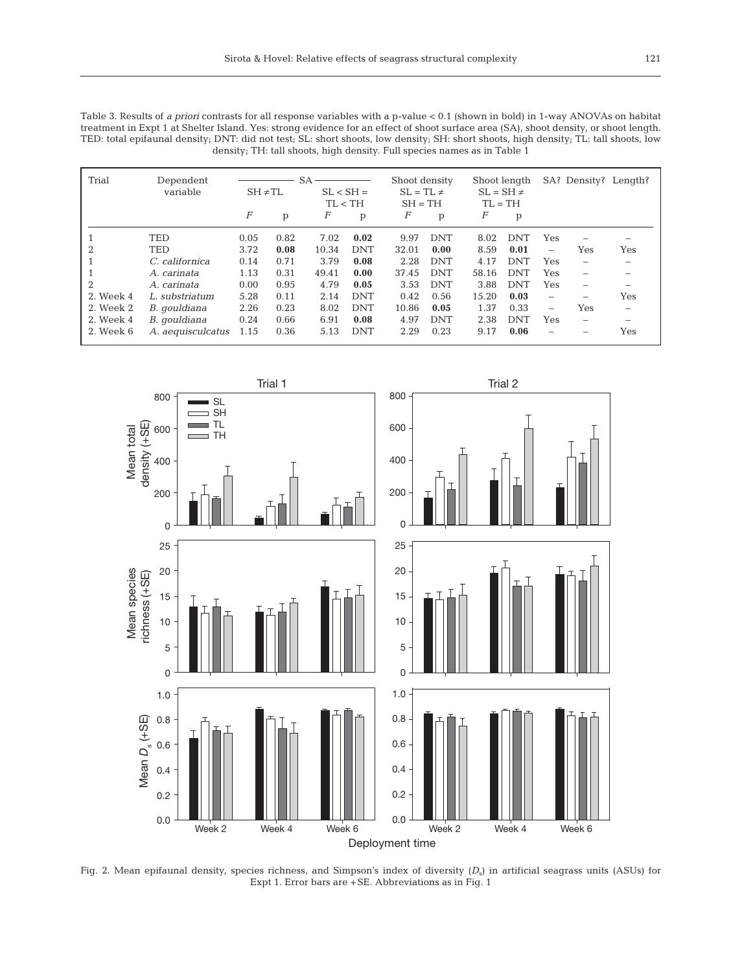Table 3. Results of *a priori* contrasts for all response variables with a p-value < 0.1 (shown in bold) in 1-way ANOVAs on habitat treatment in Expt 1 at Shelter Island. Yes: strong evidence for an effect of shoot surface area (SA), shoot density, or shoot length. TED: total epifaunal density; DNT: did not test; SL: short shoots, low density; SH: short shoots, high density; TL: tall shoots, low density; TH: tall shoots, high density. Full species names as in Table 1

| Trial          | Dependent<br>variable | $SA -$<br>$SH \neq TL$ |      |       | $SL < SH =$<br>TL < TH |       | Shoot density<br>$SL = TL \neq$<br>$SH = TH$ |       | Shoot length<br>$SL = SH \neq$<br>$TL = TH$ |                          |                          | SA? Density? Length? |
|----------------|-----------------------|------------------------|------|-------|------------------------|-------|----------------------------------------------|-------|---------------------------------------------|--------------------------|--------------------------|----------------------|
|                |                       | F                      | р    | F     | p                      | F     | p                                            | F     | p                                           |                          |                          |                      |
|                | <b>TED</b>            | 0.05                   | 0.82 | 7.02  | 0.02                   | 9.97  | <b>DNT</b>                                   | 8.02  | <b>DNT</b>                                  | Yes                      |                          |                      |
| $\overline{2}$ | TED                   | 3.72                   | 0.08 | 10.34 | <b>DNT</b>             | 32.01 | 0.00                                         | 8.59  | 0.01                                        | -                        | Yes                      | Yes                  |
|                | C. californica        | 0.14                   | 0.71 | 3.79  | 0.08                   | 2.28  | <b>DNT</b>                                   | 4.17  | <b>DNT</b>                                  | Yes                      | -                        |                      |
|                | A. carinata           | 1.13                   | 0.31 | 49.41 | 0.00                   | 37.45 | <b>DNT</b>                                   | 58.16 | <b>DNT</b>                                  | Yes                      | $\equiv$                 |                      |
| $\overline{2}$ | A. carinata           | 0.00                   | 0.95 | 4.79  | 0.05                   | 3.53  | <b>DNT</b>                                   | 3.88  | <b>DNT</b>                                  | Yes                      | -                        |                      |
| 2. Week 4      | L. substriatum        | 5.28                   | 0.11 | 2.14  | <b>DNT</b>             | 0.42  | 0.56                                         | 15.20 | 0.03                                        | $\overline{\phantom{0}}$ |                          | Yes                  |
| 2. Week 2      | B. gouldiana          | 2.26                   | 0.23 | 8.02  | <b>DNT</b>             | 10.86 | 0.05                                         | 1.37  | 0.33                                        | -                        | Yes                      |                      |
| 2. Week 4      | B. gouldiana          | 0.24                   | 0.66 | 6.91  | 0.08                   | 4.97  | <b>DNT</b>                                   | 2.38  | <b>DNT</b>                                  | Yes                      | $\overline{\phantom{a}}$ | -                    |
| 2. Week 6      | A. aequisculcatus     | 1.15                   | 0.36 | 5.13  | <b>DNT</b>             | 2.29  | 0.23                                         | 9.17  | 0.06                                        | -                        |                          | Yes                  |



Fig. 2. Mean epifaunal density, species richness, and Simpson's index of diversity  $(D_s)$  in artificial seagrass units (ASUs) for Expt 1. Error bars are +SE. Abbreviations as in Fig. 1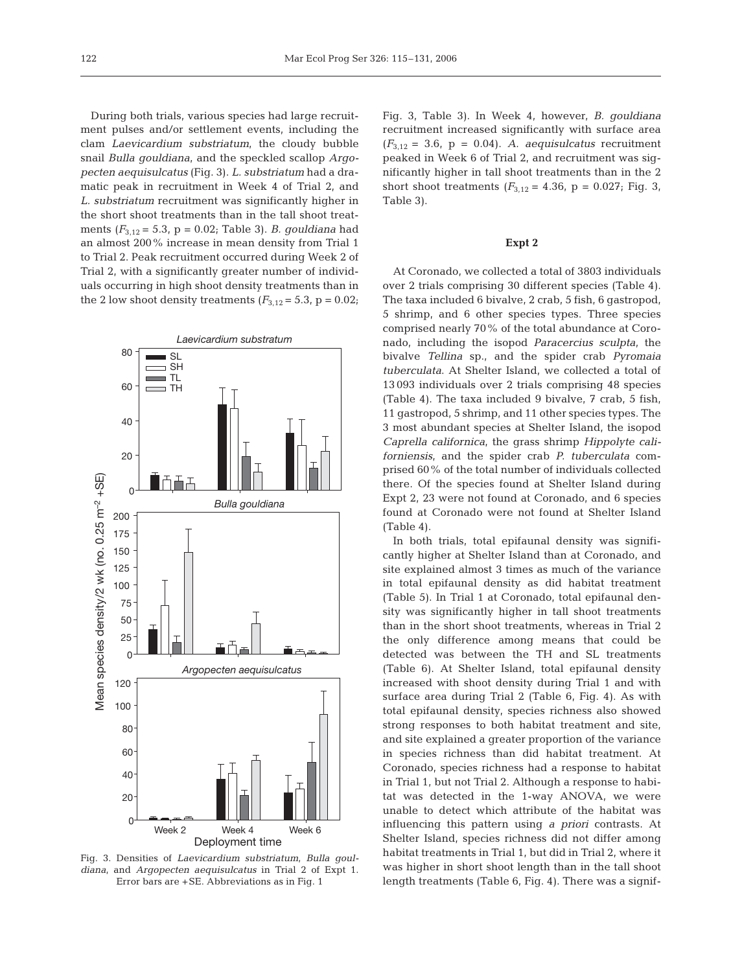During both trials, various species had large recruitment pulses and/or settlement events, including the clam *Laevicardium substriatum*, the cloudy bubble snail *Bulla gouldiana*, and the speckled scallop *Argopecten aequisulcatus* (Fig. 3). *L. substriatum* had a dramatic peak in recruitment in Week 4 of Trial 2, and *L. substriatum* recruitment was significantly higher in the short shoot treatments than in the tall shoot treatments (*F*3,12 = 5.3, p = 0.02; Table 3). *B. gouldiana* had an almost 200% increase in mean density from Trial 1 to Trial 2. Peak recruitment occurred during Week 2 of Trial 2, with a significantly greater number of individuals occurring in high shoot density treatments than in the 2 low shoot density treatments  $(F_{3,12} = 5.3, p = 0.02;$ 



Fig. 3. Densities of *Laevicardium substriatum*, *Bulla gouldiana*, and *Argopecten aequisulcatus* in Trial 2 of Expt 1. Error bars are +SE. Abbreviations as in Fig. 1

Fig. 3, Table 3). In Week 4, however, *B. gouldiana* recruitment increased significantly with surface area  $(F_{3,12} = 3.6, p = 0.04)$ . *A. aequisulcatus* recruitment peaked in Week 6 of Trial 2, and recruitment was significantly higher in tall shoot treatments than in the 2 short shoot treatments  $(F_{3,12} = 4.36, p = 0.027; Fig. 3,$ Table 3).

## **Expt 2**

At Coronado, we collected a total of 3803 individuals over 2 trials comprising 30 different species (Table 4). The taxa included 6 bivalve, 2 crab, 5 fish, 6 gastropod, 5 shrimp, and 6 other species types. Three species comprised nearly 70% of the total abundance at Coronado, including the isopod *Paracercius sculpta*, the bivalve *Tellina* sp., and the spider crab *Pyromaia tuberculata*. At Shelter Island, we collected a total of 13 093 individuals over 2 trials comprising 48 species (Table 4). The taxa included 9 bivalve, 7 crab, 5 fish, 11 gastropod, 5 shrimp, and 11 other species types. The 3 most abundant species at Shelter Island, the isopod *Caprella californica*, the grass shrimp *Hippolyte californiensis*, and the spider crab *P. tuberculata* comprised 60% of the total number of individuals collected there. Of the species found at Shelter Island during Expt 2, 23 were not found at Coronado, and 6 species found at Coronado were not found at Shelter Island (Table 4).

In both trials, total epifaunal density was significantly higher at Shelter Island than at Coronado, and site explained almost 3 times as much of the variance in total epifaunal density as did habitat treatment (Table 5). In Trial 1 at Coronado, total epifaunal density was significantly higher in tall shoot treatments than in the short shoot treatments, whereas in Trial 2 the only difference among means that could be detected was between the TH and SL treatments (Table 6). At Shelter Island, total epifaunal density increased with shoot density during Trial 1 and with surface area during Trial 2 (Table 6, Fig. 4). As with total epifaunal density, species richness also showed strong responses to both habitat treatment and site, and site explained a greater proportion of the variance in species richness than did habitat treatment. At Coronado, species richness had a response to habitat in Trial 1, but not Trial 2. Although a response to habitat was detected in the 1-way ANOVA, we were unable to detect which attribute of the habitat was influencing this pattern using *a priori* contrasts. At Shelter Island, species richness did not differ among habitat treatments in Trial 1, but did in Trial 2, where it was higher in short shoot length than in the tall shoot length treatments (Table 6, Fig. 4). There was a signif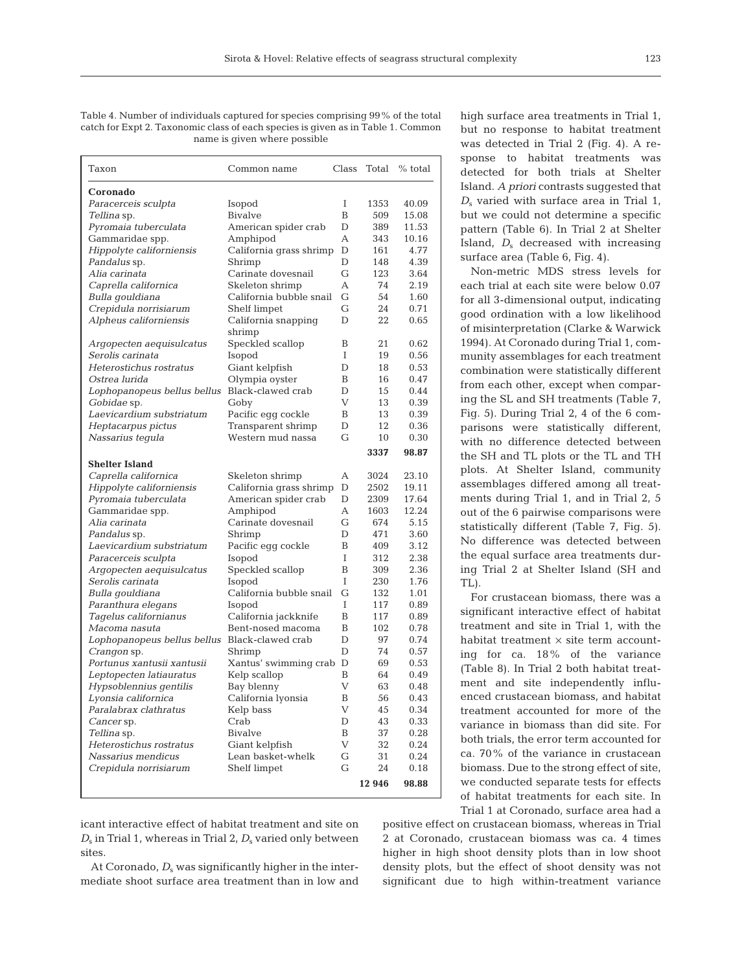Table 4. Number of individuals captured for species comprising 99% of the total catch for Expt 2. Taxonomic class of each species is given as in Table 1. Common name is given where possible

| Taxon                                           | Common name                      | Class        | Total        | % total        |
|-------------------------------------------------|----------------------------------|--------------|--------------|----------------|
| Coronado                                        |                                  |              |              |                |
| Paracerceis sculpta                             | Isopod                           | Ι            | 1353         | 40.09          |
| Tellina sp.                                     | Bivalve                          | B            | 509          | 15.08          |
| Pyromaia tuberculata                            | American spider crab             | D            | 389          | 11.53          |
| Gammaridae spp.                                 | Amphipod                         | А            | 343          | 10.16          |
| Hippolyte californiensis                        | California grass shrimp          | D            | 161          | 4.77           |
| Pandalus sp.                                    | Shrimp                           | D            | 148          | 4.39           |
| Alia carinata                                   | Carinate dovesnail               | G            | 123          | 3.64           |
| Caprella californica                            | Skeleton shrimp                  | A            | 74           | 2.19           |
| Bulla qouldiana                                 | California bubble snail          | G            | 54           | 1.60           |
| Crepidula norrisiarum                           | Shelf limpet                     | G            | 24           | 0.71           |
| Alpheus californiensis                          | California snapping              | D            | 22           | 0.65           |
|                                                 | shrimp                           |              |              |                |
| Argopecten aequisulcatus                        | Speckled scallop                 | Β            | 21           | 0.62           |
| Serolis carinata                                | Isopod                           | Ι            | 19           | 0.56           |
| Heterostichus rostratus                         | Giant kelpfish                   | D            | 18           | 0.53           |
| Ostrea lurida                                   | Olympia oyster                   | B            | 16           | 0.47           |
| Lophopanopeus bellus bellus                     | Black-clawed crab                | D            | 15           | 0.44           |
| Gobidae sp.                                     | Goby                             | V            | 13           | 0.39           |
| Laevicardium substriatum                        | Pacific eqq cockle               | B            | 13           | 0.39           |
| Heptacarpus pictus                              | Transparent shrimp               | D            | 12           | 0.36           |
| Nassarius tegula                                | Western mud nassa                | G            | 10           | 0.30           |
|                                                 |                                  |              | 3337         | 98.87          |
| <b>Shelter Island</b>                           |                                  |              |              |                |
| Caprella californica                            | Skeleton shrimp                  | А            | 3024         | 23.10          |
| Hippolyte californiensis                        | California grass shrimp          | D<br>D       | 2502<br>2309 | 19.11<br>17.64 |
| Pyromaia tuberculata                            | American spider crab<br>Amphipod | А            | 1603         | 12.24          |
| Gammaridae spp.<br>Alia carinata                | Carinate dovesnail               | G            | 674          | 5.15           |
|                                                 |                                  | D            | 471          | 3.60           |
| <i>Pandalus</i> sp.<br>Laevicardium substriatum | Shrimp<br>Pacific egg cockle     | B            | 409          | 3.12           |
| Paracerceis sculpta                             | Isopod                           | T            | 312          | 2.38           |
| Argopecten aequisulcatus                        | Speckled scallop                 | B            | 309          | 2.36           |
| Serolis carinata                                | Isopod                           | T            | 230          | 1.76           |
| Bulla gouldiana                                 | California bubble snail          | G            | 132          | 1.01           |
| Paranthura elegans                              | Isopod                           | Ι            | 117          | 0.89           |
| Tagelus californianus                           | California jackknife             | B            | 117          | 0.89           |
| Macoma nasuta                                   | Bent-nosed macoma                | B            | 102          | 0.78           |
| Lophopanopeus bellus bellus                     | Black-clawed crab                | D            | 97           | 0.74           |
| Crangon sp.                                     | Shrimp                           | D            | 74           | 0.57           |
| Portunus xantusii xantusii                      | Xantus' swimming crab            | D            | 69           | 0.53           |
| Leptopecten latiauratus                         | Kelp scallop                     | В            | 64           | 0.49           |
| Hypsoblennius gentilis                          | Bay blenny                       | V            | 63           | 0.48           |
| Lyonsia californica                             | California lyonsia               | $\, {\bf B}$ | 56           | 0.43           |
| Paralabrax clathratus                           | Kelp bass                        | V            | 45           | 0.34           |
| Cancer sp.                                      | Crab                             | D            | 43           | 0.33           |
| Tellina sp.                                     | <b>Bivalve</b>                   | B            | 37           | 0.28           |
| Heterostichus rostratus                         | Giant kelpfish                   | V            | 32           | 0.24           |
| Nassarius mendicus                              | Lean basket-whelk                | G            | 31           | 0.24           |
| Crepidula norrisiarum                           | Shelf limpet                     | G            | 24           | 0.18           |
|                                                 |                                  |              | 12 946       | 98.88          |

icant interactive effect of habitat treatment and site on *D*<sub>s</sub> in Trial 1, whereas in Trial 2, *D*<sub>s</sub> varied only between sites.

At Coronado,  $D_s$  was significantly higher in the intermediate shoot surface area treatment than in low and

high surface area treatments in Trial 1, but no response to habitat treatment was detected in Trial 2 (Fig. 4). A response to habitat treatments was detected for both trials at Shelter Island. *A priori* contrasts suggested that  $D<sub>s</sub>$  varied with surface area in Trial 1, but we could not determine a specific pattern (Table 6). In Trial 2 at Shelter Island,  $D_s$  decreased with increasing surface area (Table 6, Fig. 4).

Non-metric MDS stress levels for each trial at each site were below 0.07 for all 3-dimensional output, indicating good ordination with a low likelihood of misinterpretation (Clarke & Warwick 1994). At Coronado during Trial 1, community assemblages for each treatment combination were statistically different from each other, except when comparing the SL and SH treatments (Table 7, Fig. 5). During Trial 2, 4 of the 6 comparisons were statistically different, with no difference detected between the SH and TL plots or the TL and TH plots. At Shelter Island, community assemblages differed among all treatments during Trial 1, and in Trial 2, 5 out of the 6 pairwise comparisons were statistically different (Table 7, Fig. 5). No difference was detected between the equal surface area treatments during Trial 2 at Shelter Island (SH and TL).

For crustacean biomass, there was a significant interactive effect of habitat treatment and site in Trial 1, with the habitat treatment  $\times$  site term accounting for ca. 18% of the variance (Table 8). In Trial 2 both habitat treatment and site independently influenced crustacean biomass, and habitat treatment accounted for more of the variance in biomass than did site. For both trials, the error term accounted for ca. 70% of the variance in crustacean biomass. Due to the strong effect of site, we conducted separate tests for effects of habitat treatments for each site. In Trial 1 at Coronado, surface area had a

positive effect on crustacean biomass, whereas in Trial 2 at Coronado, crustacean biomass was ca. 4 times higher in high shoot density plots than in low shoot density plots, but the effect of shoot density was not significant due to high within-treatment variance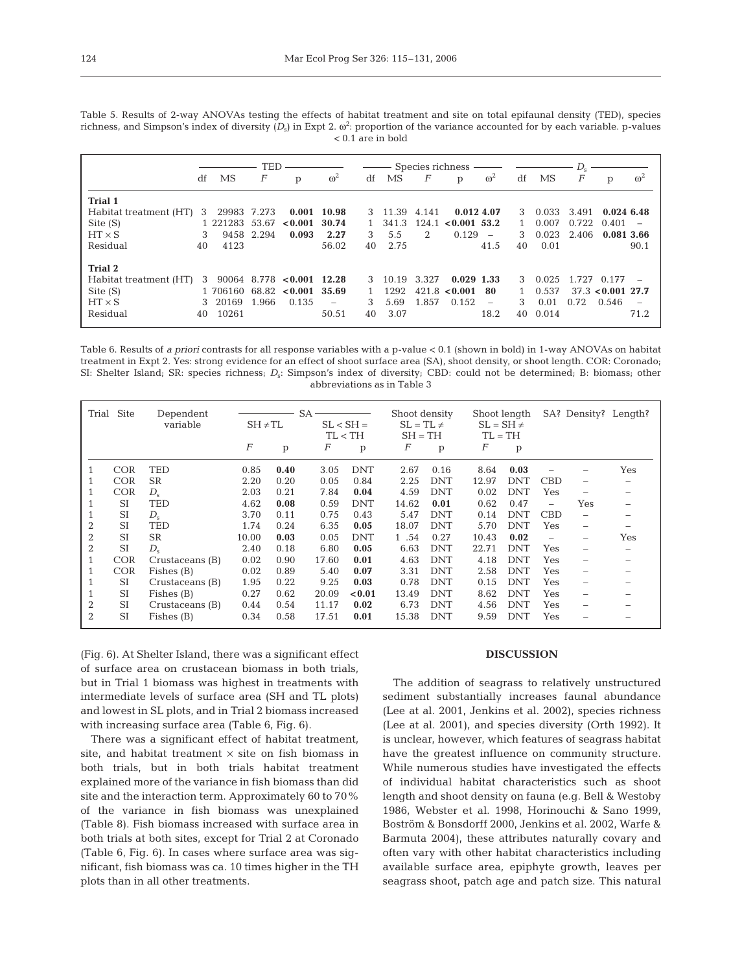| Table 5. Results of 2-way ANOVAs testing the effects of habitat treatment and site on total epifaunal density (TED), species                   |  |                     |  |  |  |  |
|------------------------------------------------------------------------------------------------------------------------------------------------|--|---------------------|--|--|--|--|
| richness, and Simpson's index of diversity $(D_s)$ in Expt 2. $\omega^2$ : proportion of the variance accounted for by each variable. p-values |  |                     |  |  |  |  |
|                                                                                                                                                |  | $< 0.1$ are in bold |  |  |  |  |

|                             | TED        |                  |                             |            |    | Species richness - |                             |                |                          | $D_{\rm s}$ |       |       |                     |                          |
|-----------------------------|------------|------------------|-----------------------------|------------|----|--------------------|-----------------------------|----------------|--------------------------|-------------|-------|-------|---------------------|--------------------------|
| df                          | MS         | $\boldsymbol{F}$ | р                           | $\omega^2$ | df | MS                 | F                           | p              | $\omega^2$               | df          | MS    | F     | p                   | $\omega^2$               |
| <b>Trial 1</b>              |            |                  |                             |            |    |                    |                             |                |                          |             |       |       |                     |                          |
| Habitat treatment (HT)<br>3 | 29983      | 7.273            | 0.001                       | 10.98      | 3  | 11.39              | 4.141                       | 0.012, 4.07    |                          | 3           | 0.033 | 3.491 | 0.0246.48           |                          |
| Site $(S)$                  | 1 221283   | 53.67            | < 0.001                     | 30.74      |    | 341.3              | 124.1                       | $< 0.001$ 53.2 |                          |             | 0.007 | 0.722 | 0.401               |                          |
| $HT \times S$               | 9458<br>3  | 2.294            | 0.093                       | 2.27       | 3  | 5.5                | $\mathcal{D}_{\mathcal{L}}$ | 0.129          | $\overline{\phantom{a}}$ | 3           | 0.023 | 2.406 | 0.081 3.66          |                          |
| Residual<br>40              | 4123       |                  |                             | 56.02      | 40 | 2.75               |                             |                | 41.5                     | 40          | 0.01  |       |                     | 90.1                     |
| <b>Trial 2</b>              |            |                  |                             |            |    |                    |                             |                |                          |             |       |       |                     |                          |
| Habitat treatment (HT)      | 3          |                  | $90064$ 8.778 < 0.001 12.28 |            | 3  | 10.19              | 3.327                       | $0.029$ 1.33   |                          | 3           | 0.025 |       | 1.727 0.177         |                          |
| Site (S)                    | 1 706160   | 68.82            | $< 0.001$ 35.69             |            |    | 1292               | 421.8                       | < 0.001        | 80                       |             | 0.537 |       | $37.3$ < 0.001 27.7 |                          |
| $HT \times S$               | 20169<br>3 | 1.966            | 0.135                       |            | 3  | 5.69               | 1.857                       | 0.152          | $\overline{\phantom{0}}$ | 3           | 0.01  | 0.72  | 0.546               | $\overline{\phantom{a}}$ |
| Residual<br>40              | 10261      |                  |                             | 50.51      | 40 | 3.07               |                             |                | 18.2                     | 40          | 0.014 |       |                     | 71.2                     |

Table 6. Results of *a priori* contrasts for all response variables with a p-value < 0.1 (shown in bold) in 1-way ANOVAs on habitat treatment in Expt 2. Yes: strong evidence for an effect of shoot surface area (SA), shoot density, or shoot length. COR: Coronado; SI: Shelter Island; SR: species richness; *D<sub>s</sub>*: Simpson's index of diversity; CBD: could not be determined; B: biomass; other abbreviations as in Table 3

|                | Trial Site | Dependent<br>variable | $SH \neq TL$     |              | $SA -$<br>$SL < SH =$<br>TL < TH |            | Shoot density<br>$SL = TL \neq$<br>$SH = TH$ |            |       | Shoot length<br>$SL = SH \neq$<br>$TL = TH$ |                          |                          | SA? Density? Length? |
|----------------|------------|-----------------------|------------------|--------------|----------------------------------|------------|----------------------------------------------|------------|-------|---------------------------------------------|--------------------------|--------------------------|----------------------|
|                |            |                       | $\boldsymbol{F}$ | $\mathbf{p}$ | F                                | p          | F                                            | p          | F     | p                                           |                          |                          |                      |
| 1              | <b>COR</b> | TED                   | 0.85             | 0.40         | 3.05                             | <b>DNT</b> | 2.67                                         | 0.16       | 8.64  | 0.03                                        |                          |                          | Yes                  |
|                | <b>COR</b> | <b>SR</b>             | 2.20             | 0.20         | 0.05                             | 0.84       | 2.25                                         | <b>DNT</b> | 12.97 | <b>DNT</b>                                  | <b>CBD</b>               | -                        |                      |
|                | <b>COR</b> | $D_{\rm e}$           | 2.03             | 0.21         | 7.84                             | 0.04       | 4.59                                         | <b>DNT</b> | 0.02  | <b>DNT</b>                                  | Yes                      |                          |                      |
|                | <b>SI</b>  | TED                   | 4.62             | 0.08         | 0.59                             | <b>DNT</b> | 14.62                                        | 0.01       | 0.62  | 0.47                                        | $\overline{\phantom{0}}$ | Yes                      |                      |
|                | <b>SI</b>  | $D_{s}$               | 3.70             | 0.11         | 0.75                             | 0.43       | 5.47                                         | <b>DNT</b> | 0.14  | <b>DNT</b>                                  | CBD                      | $\overline{\phantom{0}}$ |                      |
| 2              | <b>SI</b>  | TED                   | 1.74             | 0.24         | 6.35                             | 0.05       | 18.07                                        | <b>DNT</b> | 5.70  | <b>DNT</b>                                  | Yes                      | -                        |                      |
| $\overline{2}$ | <b>SI</b>  | <b>SR</b>             | 10.00            | 0.03         | 0.05                             | <b>DNT</b> | 1,54                                         | 0.27       | 10.43 | 0.02                                        |                          | -                        | Yes                  |
| $\overline{2}$ | SI         | $D_{\rm s}$           | 2.40             | 0.18         | 6.80                             | 0.05       | 6.63                                         | <b>DNT</b> | 22.71 | <b>DNT</b>                                  | Yes                      | -                        |                      |
| 1              | <b>COR</b> | Crustaceans (B)       | 0.02             | 0.90         | 17.60                            | 0.01       | 4.63                                         | <b>DNT</b> | 4.18  | <b>DNT</b>                                  | Yes                      | -                        |                      |
|                | <b>COR</b> | Fishes (B)            | 0.02             | 0.89         | 5.40                             | 0.07       | 3.31                                         | <b>DNT</b> | 2.58  | <b>DNT</b>                                  | Yes                      | -                        |                      |
|                | SI         | Crustaceans (B)       | 1.95             | 0.22         | 9.25                             | 0.03       | 0.78                                         | <b>DNT</b> | 0.15  | <b>DNT</b>                                  | Yes                      | -                        |                      |
|                | SI         | Fishes (B)            | 0.27             | 0.62         | 20.09                            | < 0.01     | 13.49                                        | <b>DNT</b> | 8.62  | <b>DNT</b>                                  | Yes                      |                          |                      |
| $\overline{2}$ | <b>SI</b>  | Crustaceans (B)       | 0.44             | 0.54         | 11.17                            | 0.02       | 6.73                                         | <b>DNT</b> | 4.56  | <b>DNT</b>                                  | Yes                      |                          |                      |
| $\overline{2}$ | <b>SI</b>  | Fishes (B)            | 0.34             | 0.58         | 17.51                            | 0.01       | 15.38                                        | <b>DNT</b> | 9.59  | <b>DNT</b>                                  | Yes                      |                          |                      |

(Fig. 6). At Shelter Island, there was a significant effect of surface area on crustacean biomass in both trials, but in Trial 1 biomass was highest in treatments with intermediate levels of surface area (SH and TL plots) and lowest in SL plots, and in Trial 2 biomass increased with increasing surface area (Table 6, Fig. 6).

There was a significant effect of habitat treatment, site, and habitat treatment  $\times$  site on fish biomass in both trials, but in both trials habitat treatment explained more of the variance in fish biomass than did site and the interaction term. Approximately 60 to 70% of the variance in fish biomass was unexplained (Table 8). Fish biomass increased with surface area in both trials at both sites, except for Trial 2 at Coronado (Table 6, Fig. 6). In cases where surface area was significant, fish biomass was ca. 10 times higher in the TH plots than in all other treatments.

# **DISCUSSION**

The addition of seagrass to relatively unstructured sediment substantially increases faunal abundance (Lee at al. 2001, Jenkins et al. 2002), species richness (Lee at al. 2001), and species diversity (Orth 1992). It is unclear, however, which features of seagrass habitat have the greatest influence on community structure. While numerous studies have investigated the effects of individual habitat characteristics such as shoot length and shoot density on fauna (e.g. Bell & Westoby 1986, Webster et al. 1998, Horinouchi & Sano 1999, Boström & Bonsdorff 2000, Jenkins et al. 2002, Warfe & Barmuta 2004), these attributes naturally covary and often vary with other habitat characteristics including available surface area, epiphyte growth, leaves per seagrass shoot, patch age and patch size. This natural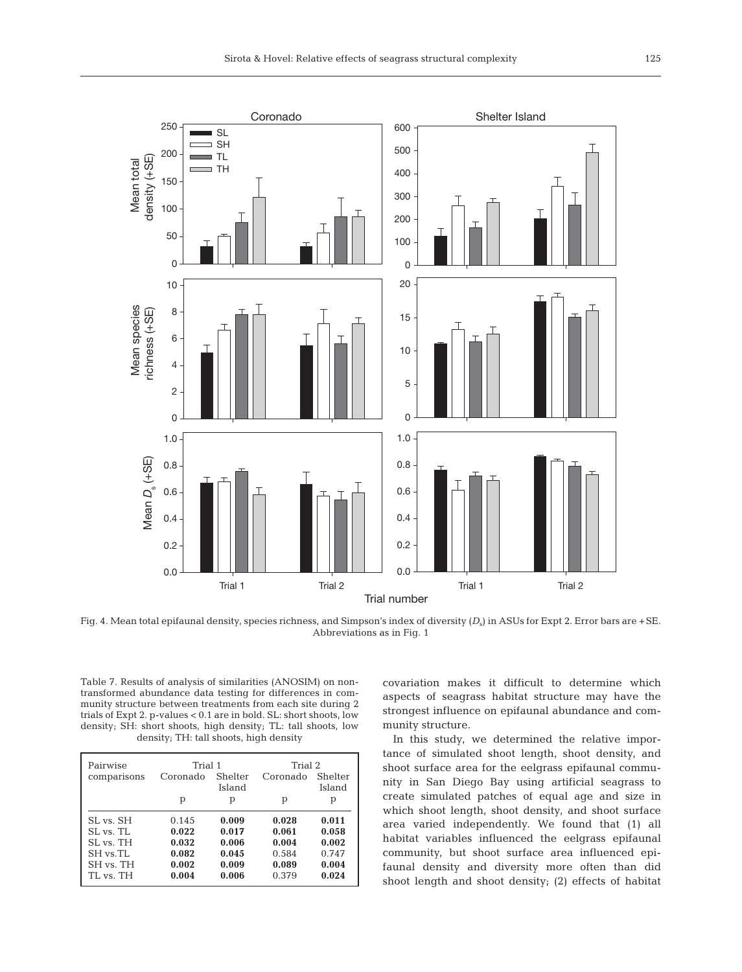

Fig. 4. Mean total epifaunal density, species richness, and Simpson's index of diversity  $(D_s)$  in ASUs for Expt 2. Error bars are +SE. Abbreviations as in Fig. 1

Table 7. Results of analysis of similarities (ANOSIM) on nontransformed abundance data testing for differences in community structure between treatments from each site during 2 trials of Expt 2. p-values < 0.1 are in bold. SL: short shoots, low density; SH: short shoots, high density; TL: tall shoots, low density; TH: tall shoots, high density

| Pairwise    | Trial 1  |                   | Trial 2  |                   |  |  |
|-------------|----------|-------------------|----------|-------------------|--|--|
| comparisons | Coronado | Shelter<br>Island | Coronado | Shelter<br>Island |  |  |
|             |          |                   |          |                   |  |  |
|             | р        | р                 | р        | р                 |  |  |
| SL vs. SH   | 0.145    | 0.009             | 0.028    | 0.011             |  |  |
| SL vs. TL   | 0.022    | 0.017             | 0.061    | 0.058             |  |  |
| SL vs. TH   | 0.032    | 0.006             | 0.004    | 0.002             |  |  |
| SH vs.TL    | 0.082    | 0.045             | 0.584    | 0.747             |  |  |
| SH vs. TH   | 0.002    | 0.009             | 0.089    | 0.004             |  |  |
| TL vs. TH   | 0.004    | 0.006             | 0.379    | 0.024             |  |  |

covariation makes it difficult to determine which aspects of seagrass habitat structure may have the strongest influence on epifaunal abundance and community structure.

In this study, we determined the relative importance of simulated shoot length, shoot density, and shoot surface area for the eelgrass epifaunal community in San Diego Bay using artificial seagrass to create simulated patches of equal age and size in which shoot length, shoot density, and shoot surface area varied independently. We found that (1) all habitat variables influenced the eelgrass epifaunal community, but shoot surface area influenced epifaunal density and diversity more often than did shoot length and shoot density; (2) effects of habitat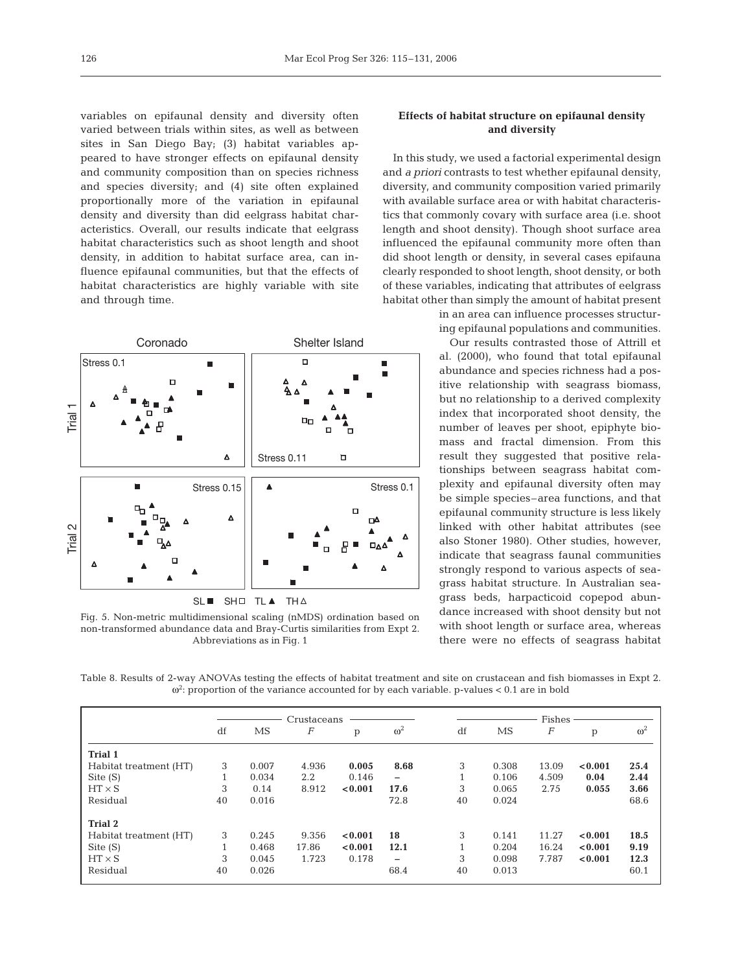variables on epifaunal density and diversity often varied between trials within sites, as well as between sites in San Diego Bay; (3) habitat variables appeared to have stronger effects on epifaunal density and community composition than on species richness and species diversity; and (4) site often explained proportionally more of the variation in epifaunal density and diversity than did eelgrass habitat characteristics. Overall, our results indicate that eelgrass habitat characteristics such as shoot length and shoot density, in addition to habitat surface area, can influence epifaunal communities, but that the effects of habitat characteristics are highly variable with site and through time.



Fig. 5. Non-metric multidimensional scaling (nMDS) ordination based on non-transformed abundance data and Bray-Curtis similarities from Expt 2. Abbreviations as in Fig. 1

# **Effects of habitat structure on epifaunal density and diversity**

In this study, we used a factorial experimental design and *a priori* contrasts to test whether epifaunal density, diversity, and community composition varied primarily with available surface area or with habitat characteristics that commonly covary with surface area (i.e. shoot length and shoot density). Though shoot surface area influenced the epifaunal community more often than did shoot length or density, in several cases epifauna clearly responded to shoot length, shoot density, or both of these variables, indicating that attributes of eelgrass habitat other than simply the amount of habitat present

> in an area can influence processes structuring epifaunal populations and communities.

> Our results contrasted those of Attrill et al. (2000), who found that total epifaunal abundance and species richness had a positive relationship with seagrass biomass, but no relationship to a derived complexity index that incorporated shoot density, the number of leaves per shoot, epiphyte biomass and fractal dimension. From this result they suggested that positive relationships between seagrass habitat complexity and epifaunal diversity often may be simple species–area functions, and that epifaunal community structure is less likely linked with other habitat attributes (see also Stoner 1980). Other studies, however, indicate that seagrass faunal communities strongly respond to various aspects of seagrass habitat structure. In Australian seagrass beds, harpacticoid copepod abundance increased with shoot density but not with shoot length or surface area, whereas there were no effects of seagrass habitat

Table 8. Results of 2-way ANOVAs testing the effects of habitat treatment and site on crustacean and fish biomasses in Expt 2.  $\omega^2$ : proportion of the variance accounted for by each variable. p-values < 0.1 are in bold

|                        |              |       | Crustaceans |         |                          | Fishes |           |                  |         |            |  |  |
|------------------------|--------------|-------|-------------|---------|--------------------------|--------|-----------|------------------|---------|------------|--|--|
|                        | df           | MS    | F           | p       | $\omega^2$               | df     | <b>MS</b> | $\boldsymbol{F}$ | p       | $\omega^2$ |  |  |
| <b>Trial 1</b>         |              |       |             |         |                          |        |           |                  |         |            |  |  |
| Habitat treatment (HT) | 3            | 0.007 | 4.936       | 0.005   | 8.68                     | 3      | 0.308     | 13.09            | < 0.001 | 25.4       |  |  |
| Site $(S)$             | Ŧ.           | 0.034 | 2.2         | 0.146   | $\overline{\phantom{0}}$ |        | 0.106     | 4.509            | 0.04    | 2.44       |  |  |
| $HT \times S$          | 3            | 0.14  | 8.912       | < 0.001 | 17.6                     | 3      | 0.065     | 2.75             | 0.055   | 3.66       |  |  |
| Residual               | 40           | 0.016 |             |         | 72.8                     | 40     | 0.024     |                  |         | 68.6       |  |  |
| <b>Trial 2</b>         |              |       |             |         |                          |        |           |                  |         |            |  |  |
| Habitat treatment (HT) | 3            | 0.245 | 9.356       | < 0.001 | 18                       | 3      | 0.141     | 11.27            | < 0.001 | 18.5       |  |  |
| Site $(S)$             | $\mathbf{1}$ | 0.468 | 17.86       | < 0.001 | 12.1                     | 1      | 0.204     | 16.24            | < 0.001 | 9.19       |  |  |
| $HT \times S$          | 3            | 0.045 | 1.723       | 0.178   | -                        | 3      | 0.098     | 7.787            | < 0.001 | 12.3       |  |  |
| Residual               | 40           | 0.026 |             |         | 68.4                     | 40     | 0.013     |                  |         | 60.1       |  |  |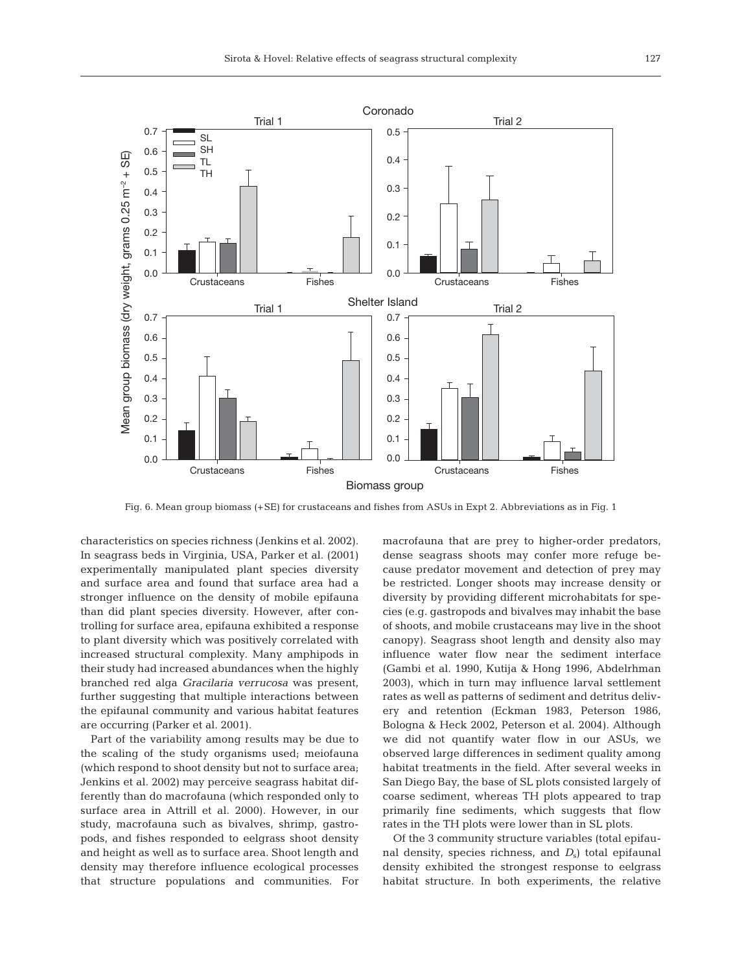

Fig. 6. Mean group biomass (+SE) for crustaceans and fishes from ASUs in Expt 2. Abbreviations as in Fig. 1

characteristics on species richness (Jenkins et al. 2002). In seagrass beds in Virginia, USA, Parker et al. (2001) experimentally manipulated plant species diversity and surface area and found that surface area had a stronger influence on the density of mobile epifauna than did plant species diversity. However, after controlling for surface area, epifauna exhibited a response to plant diversity which was positively correlated with increased structural complexity. Many amphipods in their study had increased abundances when the highly branched red alga *Gracilaria verrucosa* was present, further suggesting that multiple interactions between the epifaunal community and various habitat features are occurring (Parker et al. 2001).

Part of the variability among results may be due to the scaling of the study organisms used; meiofauna (which respond to shoot density but not to surface area; Jenkins et al. 2002) may perceive seagrass habitat differently than do macrofauna (which responded only to surface area in Attrill et al. 2000). However, in our study, macrofauna such as bivalves, shrimp, gastropods, and fishes responded to eelgrass shoot density and height as well as to surface area. Shoot length and density may therefore influence ecological processes that structure populations and communities. For

macrofauna that are prey to higher-order predators, dense seagrass shoots may confer more refuge because predator movement and detection of prey may be restricted. Longer shoots may increase density or diversity by providing different microhabitats for species (e.g. gastropods and bivalves may inhabit the base of shoots, and mobile crustaceans may live in the shoot canopy). Seagrass shoot length and density also may influence water flow near the sediment interface (Gambi et al. 1990, Kutija & Hong 1996, Abdelrhman 2003), which in turn may influence larval settlement rates as well as patterns of sediment and detritus delivery and retention (Eckman 1983, Peterson 1986, Bologna & Heck 2002, Peterson et al. 2004). Although we did not quantify water flow in our ASUs, we observed large differences in sediment quality among habitat treatments in the field. After several weeks in San Diego Bay, the base of SL plots consisted largely of coarse sediment, whereas TH plots appeared to trap primarily fine sediments, which suggests that flow rates in the TH plots were lower than in SL plots.

Of the 3 community structure variables (total epifaunal density, species richness, and  $D<sub>s</sub>$ ) total epifaunal density exhibited the strongest response to eelgrass habitat structure. In both experiments, the relative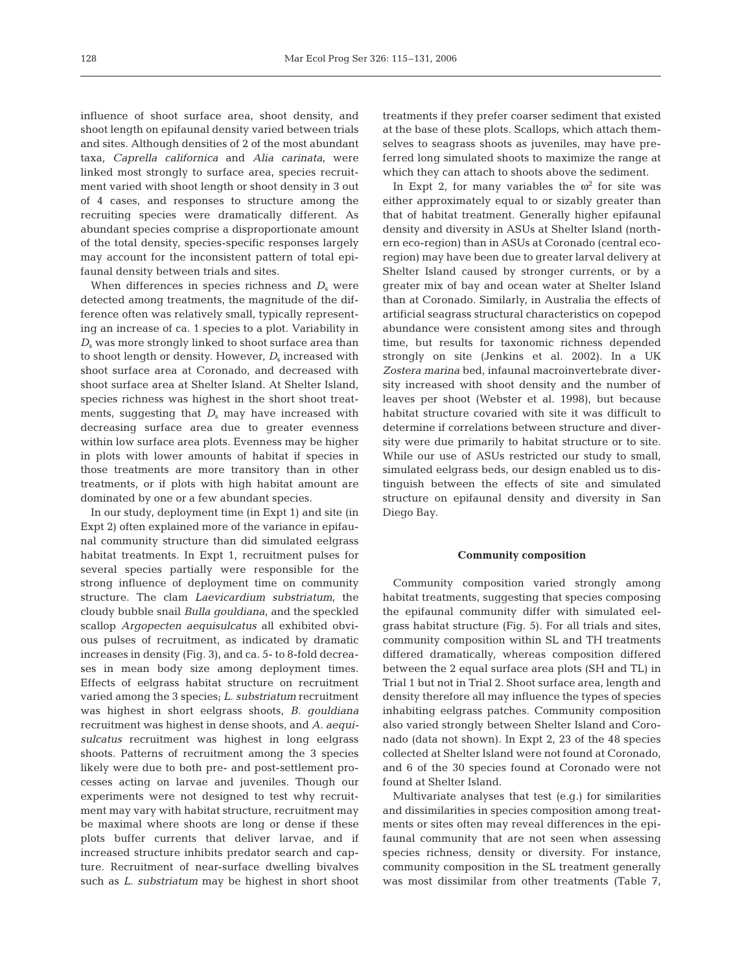influence of shoot surface area, shoot density, and shoot length on epifaunal density varied between trials and sites. Although densities of 2 of the most abundant taxa, *Caprella californica* and *Alia carinata*, were linked most strongly to surface area, species recruitment varied with shoot length or shoot density in 3 out of 4 cases, and responses to structure among the recruiting species were dramatically different. As abundant species comprise a disproportionate amount of the total density, species-specific responses largely may account for the inconsistent pattern of total epifaunal density between trials and sites.

When differences in species richness and  $D<sub>s</sub>$  were detected among treatments, the magnitude of the difference often was relatively small, typically representing an increase of ca. 1 species to a plot. Variability in *D*<sub>s</sub> was more strongly linked to shoot surface area than to shoot length or density. However,  $D_s$  increased with shoot surface area at Coronado, and decreased with shoot surface area at Shelter Island. At Shelter Island, species richness was highest in the short shoot treatments, suggesting that  $D_s$  may have increased with decreasing surface area due to greater evenness within low surface area plots. Evenness may be higher in plots with lower amounts of habitat if species in those treatments are more transitory than in other treatments, or if plots with high habitat amount are dominated by one or a few abundant species.

In our study, deployment time (in Expt 1) and site (in Expt 2) often explained more of the variance in epifaunal community structure than did simulated eelgrass habitat treatments. In Expt 1, recruitment pulses for several species partially were responsible for the strong influence of deployment time on community structure. The clam *Laevicardium substriatum*, the cloudy bubble snail *Bulla gouldiana*, and the speckled scallop *Argopecten aequisulcatus* all exhibited obvious pulses of recruitment, as indicated by dramatic increases in density (Fig. 3), and ca. 5- to 8-fold decreases in mean body size among deployment times. Effects of eelgrass habitat structure on recruitment varied among the 3 species; *L. substriatum* recruitment was highest in short eelgrass shoots, *B. gouldiana* recruitment was highest in dense shoots, and *A. aequisulcatus* recruitment was highest in long eelgrass shoots. Patterns of recruitment among the 3 species likely were due to both pre- and post-settlement processes acting on larvae and juveniles. Though our experiments were not designed to test why recruitment may vary with habitat structure, recruitment may be maximal where shoots are long or dense if these plots buffer currents that deliver larvae, and if increased structure inhibits predator search and capture. Recruitment of near-surface dwelling bivalves such as *L. substriatum* may be highest in short shoot

treatments if they prefer coarser sediment that existed at the base of these plots. Scallops, which attach themselves to seagrass shoots as juveniles, may have preferred long simulated shoots to maximize the range at which they can attach to shoots above the sediment.

In Expt 2, for many variables the  $\omega^2$  for site was either approximately equal to or sizably greater than that of habitat treatment. Generally higher epifaunal density and diversity in ASUs at Shelter Island (northern eco-region) than in ASUs at Coronado (central ecoregion) may have been due to greater larval delivery at Shelter Island caused by stronger currents, or by a greater mix of bay and ocean water at Shelter Island than at Coronado. Similarly, in Australia the effects of artificial seagrass structural characteristics on copepod abundance were consistent among sites and through time, but results for taxonomic richness depended strongly on site (Jenkins et al. 2002). In a UK *Zostera marina* bed, infaunal macroinvertebrate diversity increased with shoot density and the number of leaves per shoot (Webster et al. 1998), but because habitat structure covaried with site it was difficult to determine if correlations between structure and diversity were due primarily to habitat structure or to site. While our use of ASUs restricted our study to small, simulated eelgrass beds, our design enabled us to distinguish between the effects of site and simulated structure on epifaunal density and diversity in San Diego Bay.

### **Community composition**

Community composition varied strongly among habitat treatments, suggesting that species composing the epifaunal community differ with simulated eelgrass habitat structure (Fig. 5). For all trials and sites, community composition within SL and TH treatments differed dramatically, whereas composition differed between the 2 equal surface area plots (SH and TL) in Trial 1 but not in Trial 2. Shoot surface area, length and density therefore all may influence the types of species inhabiting eelgrass patches. Community composition also varied strongly between Shelter Island and Coronado (data not shown). In Expt 2, 23 of the 48 species collected at Shelter Island were not found at Coronado, and 6 of the 30 species found at Coronado were not found at Shelter Island.

Multivariate analyses that test (e.g.) for similarities and dissimilarities in species composition among treatments or sites often may reveal differences in the epifaunal community that are not seen when assessing species richness, density or diversity. For instance, community composition in the SL treatment generally was most dissimilar from other treatments (Table 7,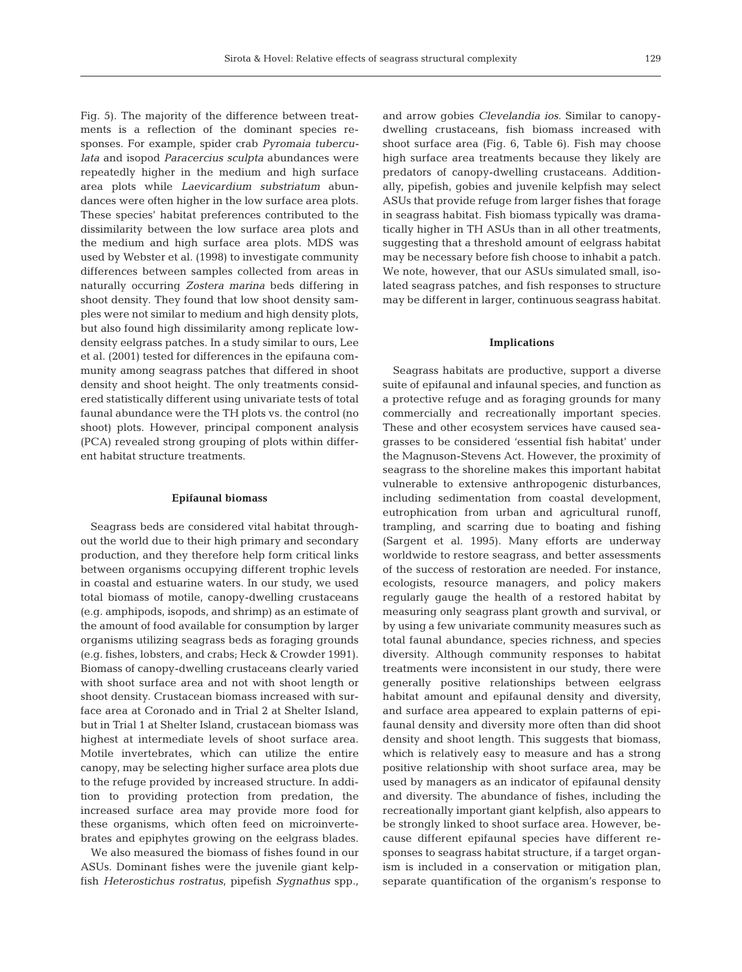Fig. 5). The majority of the difference between treatments is a reflection of the dominant species responses. For example, spider crab *Pyromaia tuberculata* and isopod *Paracercius sculpta* abundances were repeatedly higher in the medium and high surface area plots while *Laevicardium substriatum* abundances were often higher in the low surface area plots. These species' habitat preferences contributed to the dissimilarity between the low surface area plots and the medium and high surface area plots. MDS was used by Webster et al. (1998) to investigate community differences between samples collected from areas in naturally occurring *Zostera marina* beds differing in shoot density. They found that low shoot density samples were not similar to medium and high density plots, but also found high dissimilarity among replicate lowdensity eelgrass patches. In a study similar to ours, Lee et al. (2001) tested for differences in the epifauna community among seagrass patches that differed in shoot density and shoot height. The only treatments considered statistically different using univariate tests of total faunal abundance were the TH plots vs. the control (no shoot) plots. However, principal component analysis (PCA) revealed strong grouping of plots within different habitat structure treatments.

### **Epifaunal biomass**

Seagrass beds are considered vital habitat throughout the world due to their high primary and secondary production, and they therefore help form critical links between organisms occupying different trophic levels in coastal and estuarine waters. In our study, we used total biomass of motile, canopy-dwelling crustaceans (e.g. amphipods, isopods, and shrimp) as an estimate of the amount of food available for consumption by larger organisms utilizing seagrass beds as foraging grounds (e.g. fishes, lobsters, and crabs; Heck & Crowder 1991). Biomass of canopy-dwelling crustaceans clearly varied with shoot surface area and not with shoot length or shoot density. Crustacean biomass increased with surface area at Coronado and in Trial 2 at Shelter Island, but in Trial 1 at Shelter Island, crustacean biomass was highest at intermediate levels of shoot surface area. Motile invertebrates, which can utilize the entire canopy, may be selecting higher surface area plots due to the refuge provided by increased structure. In addition to providing protection from predation, the increased surface area may provide more food for these organisms, which often feed on microinvertebrates and epiphytes growing on the eelgrass blades.

We also measured the biomass of fishes found in our ASUs. Dominant fishes were the juvenile giant kelpfish *Heterostichus rostratus*, pipefish *Sygnathus* spp.,

and arrow gobies *Clevelandia ios*. Similar to canopydwelling crustaceans, fish biomass increased with shoot surface area (Fig. 6, Table 6). Fish may choose high surface area treatments because they likely are predators of canopy-dwelling crustaceans. Additionally, pipefish, gobies and juvenile kelpfish may select ASUs that provide refuge from larger fishes that forage in seagrass habitat. Fish biomass typically was dramatically higher in TH ASUs than in all other treatments, suggesting that a threshold amount of eelgrass habitat may be necessary before fish choose to inhabit a patch. We note, however, that our ASUs simulated small, isolated seagrass patches, and fish responses to structure may be different in larger, continuous seagrass habitat.

#### **Implications**

Seagrass habitats are productive, support a diverse suite of epifaunal and infaunal species, and function as a protective refuge and as foraging grounds for many commercially and recreationally important species. These and other ecosystem services have caused seagrasses to be considered 'essential fish habitat' under the Magnuson-Stevens Act. However, the proximity of seagrass to the shoreline makes this important habitat vulnerable to extensive anthropogenic disturbances, including sedimentation from coastal development, eutrophication from urban and agricultural runoff, trampling, and scarring due to boating and fishing (Sargent et al. 1995). Many efforts are underway worldwide to restore seagrass, and better assessments of the success of restoration are needed. For instance, ecologists, resource managers, and policy makers regularly gauge the health of a restored habitat by measuring only seagrass plant growth and survival, or by using a few univariate community measures such as total faunal abundance, species richness, and species diversity. Although community responses to habitat treatments were inconsistent in our study, there were generally positive relationships between eelgrass habitat amount and epifaunal density and diversity, and surface area appeared to explain patterns of epifaunal density and diversity more often than did shoot density and shoot length. This suggests that biomass, which is relatively easy to measure and has a strong positive relationship with shoot surface area, may be used by managers as an indicator of epifaunal density and diversity. The abundance of fishes, including the recreationally important giant kelpfish, also appears to be strongly linked to shoot surface area. However, because different epifaunal species have different responses to seagrass habitat structure, if a target organism is included in a conservation or mitigation plan, separate quantification of the organism's response to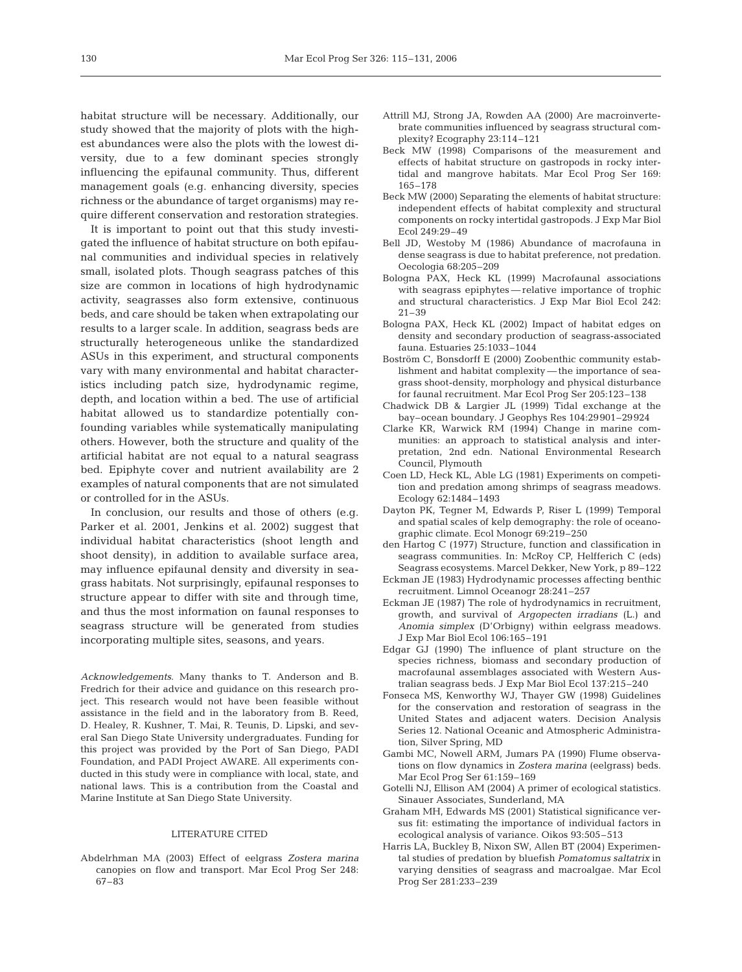habitat structure will be necessary. Additionally, our study showed that the majority of plots with the highest abundances were also the plots with the lowest diversity, due to a few dominant species strongly influencing the epifaunal community. Thus, different management goals (e.g. enhancing diversity, species richness or the abundance of target organisms) may require different conservation and restoration strategies.

It is important to point out that this study investigated the influence of habitat structure on both epifaunal communities and individual species in relatively small, isolated plots. Though seagrass patches of this size are common in locations of high hydrodynamic activity, seagrasses also form extensive, continuous beds, and care should be taken when extrapolating our results to a larger scale. In addition, seagrass beds are structurally heterogeneous unlike the standardized ASUs in this experiment, and structural components vary with many environmental and habitat characteristics including patch size, hydrodynamic regime, depth, and location within a bed. The use of artificial habitat allowed us to standardize potentially confounding variables while systematically manipulating others. However, both the structure and quality of the artificial habitat are not equal to a natural seagrass bed. Epiphyte cover and nutrient availability are 2 examples of natural components that are not simulated or controlled for in the ASUs.

In conclusion, our results and those of others (e.g. Parker et al. 2001, Jenkins et al. 2002) suggest that individual habitat characteristics (shoot length and shoot density), in addition to available surface area, may influence epifaunal density and diversity in seagrass habitats. Not surprisingly, epifaunal responses to structure appear to differ with site and through time, and thus the most information on faunal responses to seagrass structure will be generated from studies incorporating multiple sites, seasons, and years.

*Acknowledgements*. Many thanks to T. Anderson and B. Fredrich for their advice and guidance on this research project. This research would not have been feasible without assistance in the field and in the laboratory from B. Reed, D. Healey, R. Kushner, T. Mai, R. Teunis, D. Lipski, and several San Diego State University undergraduates. Funding for this project was provided by the Port of San Diego, PADI Foundation, and PADI Project AWARE. All experiments conducted in this study were in compliance with local, state, and national laws. This is a contribution from the Coastal and Marine Institute at San Diego State University.

#### LITERATURE CITED

Abdelrhman MA (2003) Effect of eelgrass *Zostera marina* canopies on flow and transport. Mar Ecol Prog Ser 248: 67–83

- Attrill MJ, Strong JA, Rowden AA (2000) Are macroinvertebrate communities influenced by seagrass structural complexity? Ecography 23:114–121
- Beck MW (1998) Comparisons of the measurement and effects of habitat structure on gastropods in rocky intertidal and mangrove habitats. Mar Ecol Prog Ser 169: 165–178
- Beck MW (2000) Separating the elements of habitat structure: independent effects of habitat complexity and structural components on rocky intertidal gastropods. J Exp Mar Biol Ecol 249:29–49
- Bell JD, Westoby M (1986) Abundance of macrofauna in dense seagrass is due to habitat preference, not predation. Oecologia 68:205–209
- Bologna PAX, Heck KL (1999) Macrofaunal associations with seagrass epiphytes — relative importance of trophic and structural characteristics. J Exp Mar Biol Ecol 242: 21–39
- Bologna PAX, Heck KL (2002) Impact of habitat edges on density and secondary production of seagrass-associated fauna. Estuaries 25:1033–1044
- Boström C, Bonsdorff E (2000) Zoobenthic community establishment and habitat complexity — the importance of seagrass shoot-density, morphology and physical disturbance for faunal recruitment. Mar Ecol Prog Ser 205:123–138
- Chadwick DB & Largier JL (1999) Tidal exchange at the bay–ocean boundary. J Geophys Res 104:29901–29924
- Clarke KR, Warwick RM (1994) Change in marine communities: an approach to statistical analysis and interpretation, 2nd edn. National Environmental Research Council, Plymouth
- Coen LD, Heck KL, Able LG (1981) Experiments on competition and predation among shrimps of seagrass meadows. Ecology 62:1484–1493
- Dayton PK, Tegner M, Edwards P, Riser L (1999) Temporal and spatial scales of kelp demography: the role of oceanographic climate. Ecol Monogr 69:219–250
- den Hartog C (1977) Structure, function and classification in seagrass communities. In: McRoy CP, Helfferich C (eds) Seagrass ecosystems. Marcel Dekker, New York, p 89–122
- Eckman JE (1983) Hydrodynamic processes affecting benthic recruitment. Limnol Oceanogr 28:241–257
- Eckman JE (1987) The role of hydrodynamics in recruitment, growth, and survival of *Argopecten irradians* (L.) and *Anomia simplex* (D'Orbigny) within eelgrass meadows. J Exp Mar Biol Ecol 106:165–191
- Edgar GJ (1990) The influence of plant structure on the species richness, biomass and secondary production of macrofaunal assemblages associated with Western Australian seagrass beds. J Exp Mar Biol Ecol 137:215–240
- Fonseca MS, Kenworthy WJ, Thayer GW (1998) Guidelines for the conservation and restoration of seagrass in the United States and adjacent waters. Decision Analysis Series 12. National Oceanic and Atmospheric Administration, Silver Spring, MD
- Gambi MC, Nowell ARM, Jumars PA (1990) Flume observations on flow dynamics in *Zostera marina* (eelgrass) beds. Mar Ecol Prog Ser 61:159–169
- Gotelli NJ, Ellison AM (2004) A primer of ecological statistics. Sinauer Associates, Sunderland, MA
- Graham MH, Edwards MS (2001) Statistical significance versus fit: estimating the importance of individual factors in ecological analysis of variance. Oikos 93:505–513
- Harris LA, Buckley B, Nixon SW, Allen BT (2004) Experimental studies of predation by bluefish *Pomatomus saltatrix* in varying densities of seagrass and macroalgae. Mar Ecol Prog Ser 281:233–239